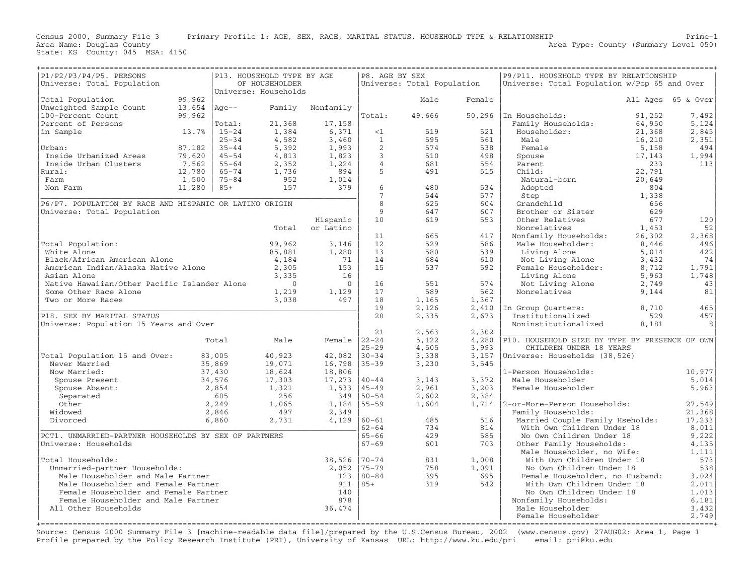Area Name: Douglas County<br>State: KS County: 045 MSA: 4150

| P1/P2/P3/P4/P5. PERSONS                                                                                                |                                              |                        | P13. HOUSEHOLD TYPE BY AGE |                  | P8. AGE BY SEX     |                            |                                 | P9/P11. HOUSEHOLD TYPE BY RELATIONSHIP         |                    |                |  |  |
|------------------------------------------------------------------------------------------------------------------------|----------------------------------------------|------------------------|----------------------------|------------------|--------------------|----------------------------|---------------------------------|------------------------------------------------|--------------------|----------------|--|--|
| Universe: Total Population                                                                                             |                                              |                        | OF HOUSEHOLDER             |                  |                    | Universe: Total Population |                                 | Universe: Total Population w/Pop 65 and Over   |                    |                |  |  |
|                                                                                                                        |                                              |                        | Universe: Households       |                  |                    |                            |                                 |                                                | All Ages 65 & Over |                |  |  |
| Total Population                                                                                                       | 99,962                                       |                        |                            |                  |                    | Male                       | Female                          |                                                |                    |                |  |  |
| Unweighted Sample Count                                                                                                | 13,654                                       | $Aqe--$                | Family                     | Nonfamily        |                    |                            |                                 |                                                |                    |                |  |  |
| 100-Percent Count                                                                                                      | 99,962                                       |                        |                            |                  | Total:             | 49,666                     |                                 | 50,296   In Households:                        | 91,252             | 7,492          |  |  |
| Percent of Persons                                                                                                     |                                              | Total:                 | 21,368                     | 17,158           |                    | 519                        |                                 | Family Households:                             | 64,950             | 5,124          |  |  |
| in Sample                                                                                                              | 13.7%                                        | $15 - 24$<br>$25 - 34$ | 1,384<br>4,582             | 6,371<br>3,460   | <1<br>$\mathbf{1}$ | 595                        | 521<br>561                      | Householder:<br>Male                           | 21,368<br>16,210   | 2,845<br>2,351 |  |  |
| Urban:                                                                                                                 | 87,182                                       | $35 - 44$              | 5,392                      | 1,993            | 2                  | 574                        | 538                             | Female                                         | 5,158              | 494            |  |  |
| Inside Urbanized Areas                                                                                                 | 79,620                                       | $45 - 54$              | 4,813                      | 1,823            | $\mathbf{3}$       | 510                        | 498                             | Spouse                                         | 17,143             | 1,994          |  |  |
| Inside Urban Clusters                                                                                                  | 7,562                                        | $55 - 64$              | 2,352                      | 1,224            | $\overline{4}$     | 681                        | 554                             | Parent                                         | 233                | 113            |  |  |
| Rural:                                                                                                                 | 12,780                                       | $65 - 74$              | 1,736                      | 894              | 5                  | 491                        | 515                             | Child:                                         | 22,791             |                |  |  |
| Farm                                                                                                                   | 1,500                                        | $75 - 84$              | 952                        | 1,014            |                    |                            |                                 | Natural-born                                   | 20,649             |                |  |  |
| Non Farm                                                                                                               | 11,280                                       | $85+$                  | 157                        | 379              | 6                  | 480                        | 534                             | Adopted                                        | 804                |                |  |  |
|                                                                                                                        |                                              |                        |                            |                  | $7\phantom{.}$     | 544                        | 577                             | Step                                           | 1,338              |                |  |  |
| P6/P7. POPULATION BY RACE AND HISPANIC OR LATINO ORIGIN                                                                |                                              |                        |                            |                  | 8                  | 625                        | 604                             | Grandchild                                     | 656                |                |  |  |
| Universe: Total Population                                                                                             |                                              |                        |                            |                  | 9                  | 647                        | 607                             | Brother or Sister                              | 629                |                |  |  |
|                                                                                                                        |                                              |                        |                            | Hispanic         | 10                 | 619                        | 553                             | Other Relatives                                | 677                | 120            |  |  |
|                                                                                                                        |                                              |                        | Total                      | or Latino        |                    |                            |                                 | Nonrelatives                                   | 1,453              | 52             |  |  |
|                                                                                                                        |                                              |                        |                            |                  | 11                 | 665                        | 417                             | Nonfamily Households:                          | 26,302             | 2,368          |  |  |
| Total Population:                                                                                                      |                                              |                        | 99,962                     | 3,146            | 12                 | 529                        | 586                             | Male Householder:                              | 8,446              | 496            |  |  |
| White Alone                                                                                                            |                                              |                        | 85,881                     | 1,280            | 13                 | 580                        | 539                             | Living Alone                                   | 5,014              | 422            |  |  |
| Black/African American Alone                                                                                           |                                              |                        | 4,184                      | 71               | 14                 | 684                        | 610                             | Not Living Alone                               | 3,432              | 74             |  |  |
| American Indian/Alaska Native Alone                                                                                    |                                              |                        | 2,305                      | 153              | 15                 | 537                        | 592                             | Female Householder:                            | 8,712              | 1,791          |  |  |
| Asian Alone                                                                                                            |                                              |                        | 3,335                      | 16               |                    |                            |                                 | Living Alone                                   | 5,963              | 1,748          |  |  |
|                                                                                                                        | Native Hawaiian/Other Pacific Islander Alone |                        | $\overline{0}$             | $\overline{0}$   | 16                 | 551                        | 574                             | Not Living Alone                               | 2,749              | 43             |  |  |
| Some Other Race Alone                                                                                                  |                                              |                        | 1,219                      | 1,129            | 17                 | 589                        | 562                             | Nonrelatives<br>9,144                          |                    | 81             |  |  |
| Two or More Races                                                                                                      |                                              |                        | 3,038                      | 497              | 18                 | 1,165                      | 1,367                           |                                                |                    |                |  |  |
|                                                                                                                        |                                              |                        |                            |                  | 19                 | 2,126                      | 2,410                           | In Group Ouarters:                             | 8,710              | 465            |  |  |
| P18. SEX BY MARITAL STATUS                                                                                             |                                              |                        |                            |                  | 20                 | 2,335                      | 2,673                           | Institutionalized                              | 529                | 457            |  |  |
| Universe: Population 15 Years and Over                                                                                 |                                              |                        |                            |                  |                    |                            |                                 | Noninstitutionalized                           | 8,181              | 8              |  |  |
|                                                                                                                        |                                              | Total                  | Male                       | Female $ 22-24 $ | 21                 | 2,563<br>5,122             | 2,302                           | P10. HOUSEHOLD SIZE BY TYPE BY PRESENCE OF OWN |                    |                |  |  |
|                                                                                                                        |                                              |                        |                            |                  | $25 - 29$          | 4,505                      | 4,280<br>3,993                  | CHILDREN UNDER 18 YEARS                        |                    |                |  |  |
| Total Population 15 and Over:                                                                                          |                                              | 83,005                 | 40,923                     | 42,082           | $30 - 34$          | 3,338                      | 3,157                           | Universe: Households (38,526)                  |                    |                |  |  |
| Never Married                                                                                                          |                                              | 35,869                 | 19,071                     | 16,798           | $35 - 39$          | 3,230                      | 3,545                           |                                                |                    |                |  |  |
| Now Married:                                                                                                           |                                              | 37,430                 | 18,624                     | 18,806           |                    |                            |                                 | 1-Person Households:                           |                    | 10,977         |  |  |
| Spouse Present                                                                                                         |                                              | 34,576                 | 17,303                     | 17,273           | $40 - 44$          | 3,143                      | 3,372                           | Male Householder                               |                    | 5,014          |  |  |
| Spouse Absent:                                                                                                         |                                              | 2,854                  | 1,321                      | 1,533            | $45 - 49$          | 2,961                      | 3,203                           | Female Householder                             |                    | 5,963          |  |  |
| Separated                                                                                                              |                                              | 605                    | 256                        | 349              | $50 - 54$          | 2,602                      | 2,384                           |                                                |                    |                |  |  |
| Other                                                                                                                  |                                              | 2,249                  | 1,065                      | 1,184            | 55-59              | 1,604                      |                                 | 1,714   2-or-More-Person Households:           |                    | 27,549         |  |  |
| Widowed                                                                                                                |                                              | 2,846                  | 497                        | 2,349            |                    |                            |                                 | Family Households:                             |                    | 21,368         |  |  |
| Divorced                                                                                                               |                                              | 6,860                  | 2,731                      | 4,129            | $60 - 61$          | 485                        | 516                             | Married Couple Family Hseholds:                |                    | 17, 233        |  |  |
|                                                                                                                        |                                              |                        |                            |                  | $62 - 64$          | 734                        | 814                             | With Own Children Under 18                     |                    | 8,011          |  |  |
| PCT1. UNMARRIED-PARTNER HOUSEHOLDS BY SEX OF PARTNERS                                                                  |                                              |                        |                            |                  | $65 - 66$          | 429                        | 585                             | No Own Children Under 18                       |                    | 9,222          |  |  |
| Universe: Households                                                                                                   |                                              |                        |                            |                  | $67 - 69$          | 601                        | 703                             | Other Family Households:                       |                    | 4,135          |  |  |
|                                                                                                                        |                                              |                        |                            |                  |                    |                            |                                 | Male Householder, no Wife:                     |                    | 1,111          |  |  |
| Total Households:                                                                                                      |                                              |                        |                            | 38,526           | $70 - 74$          | 831                        | 1,008                           | With Own Children Under 18                     |                    | 573            |  |  |
| Unmarried-partner Households:                                                                                          |                                              |                        | 2,052                      | $75 - 79$        | 758                | 1,091                      | No Own Children Under 18        |                                                | 538                |                |  |  |
| Male Householder and Male Partner<br>123                                                                               |                                              |                        |                            | $80 - 84$        | 395                | 695                        | Female Householder, no Husband: |                                                | 3,024              |                |  |  |
| Male Householder and Female Partner                                                                                    |                                              |                        |                            | 911              | $85+$              | 319                        | 542                             | With Own Children Under 18                     |                    | 2,011          |  |  |
| Female Householder and Female Partner<br>140<br>No Own Children Under 18<br>878<br>Female Householder and Male Partner |                                              |                        |                            |                  | 1,013              |                            |                                 |                                                |                    |                |  |  |
|                                                                                                                        |                                              |                        |                            |                  |                    |                            |                                 | Nonfamily Households:                          |                    | 6,181          |  |  |
| All Other Households                                                                                                   |                                              |                        |                            | 36,474           |                    |                            |                                 | Male Householder<br>Female Householder         |                    | 3,432<br>2,749 |  |  |
|                                                                                                                        |                                              |                        |                            |                  |                    |                            |                                 |                                                |                    |                |  |  |

Source: Census 2000 Summary File 3 [machine−readable data file]/prepared by the U.S.Census Bureau, 2002 (www.census.gov) 27AUG02: Area 1, Page 1 Profile prepared by the Policy Research Institute (PRI), University of Kansas URL: http://www.ku.edu/pri email: pri@ku.edu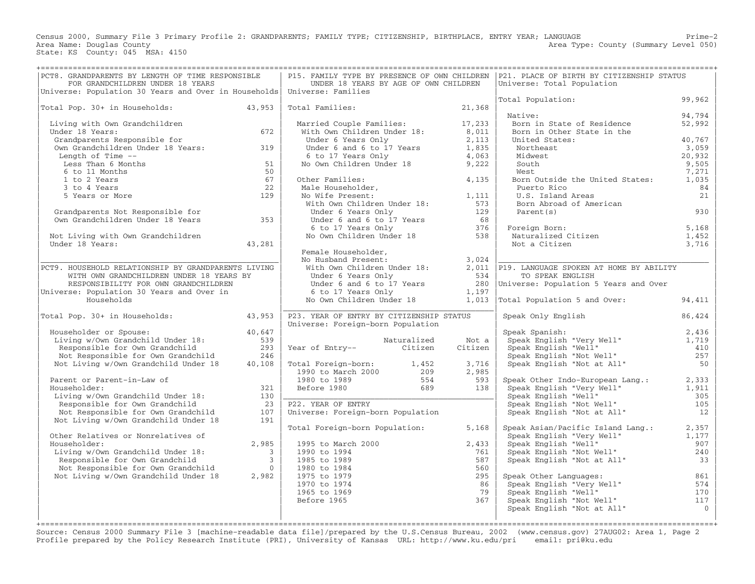Census 2000, Summary File 3 Primary Profile 2: GRANDPARENTS; FAMILY TYPE; CITIZENSHIP, BIRTHPLACE, ENTRY YEAR; LANGUAGE Prime−2 Area Type: County (Summary Level 050) Area Name: Douglas County<br>State: KS County: 045 MSA: 4150

| PCT8. GRANDPARENTS BY LENGTH OF TIME RESPONSIBLE                        |                         | P15. FAMILY TYPE BY PRESENCE OF OWN CHILDREN                         |             |         | P21. PLACE OF BIRTH BY CITIZENSHIP STATUS                           |                |
|-------------------------------------------------------------------------|-------------------------|----------------------------------------------------------------------|-------------|---------|---------------------------------------------------------------------|----------------|
| FOR GRANDCHILDREN UNDER 18 YEARS                                        |                         | UNDER 18 YEARS BY AGE OF OWN CHILDREN                                |             |         | Universe: Total Population                                          |                |
| Universe: Population 30 Years and Over in Households Universe: Families |                         |                                                                      |             |         | Total Population:                                                   | 99,962         |
| Total Pop. 30+ in Households:                                           | 43,953                  | Total Families:                                                      |             | 21,368  |                                                                     |                |
|                                                                         |                         |                                                                      |             |         | Native:                                                             | 94,794         |
| Living with Own Grandchildren                                           |                         |                                                                      |             |         | Born in State of Residence                                          | 52,992         |
| Under 18 Years:                                                         | 672                     | Married Couple Families: 17,233<br>With Own Children Under 18: 8,011 |             |         | Born in Other State in the                                          |                |
| Grandparents Responsible for                                            |                         | Under 6 Years Only                                                   |             | 2,113   | United States:                                                      | 40,767         |
| Own Grandchildren Under 18 Years: 319                                   |                         | Under $6$ and $6$ to $17$ Years $1,835$                              |             |         | Northeast                                                           | 3,059          |
| Length of Time --                                                       |                         | 6 to 17 Years Only                                                   |             | 4,063   | Midwest                                                             | 20,932         |
| Less Than 6 Months                                                      | 51                      | No Own Children Under 18                                             |             | 9,222   | South                                                               | 9,505          |
| 6 to 11 Months                                                          | 50                      |                                                                      |             |         | West                                                                | 7,271          |
| 1 to 2 Years                                                            | 67                      | Other Families:                                                      |             | 4,135   | Born Outside the United States:                                     | 1,035          |
| 3 to 4 Years                                                            | 22                      |                                                                      |             |         | Puerto Rico                                                         | 84             |
| 5 Years or More                                                         | 129                     | Male Householder,<br>No Wife Present:<br>With Own Children Under 18: |             | 1,111   | U.S. Island Areas                                                   | 21             |
|                                                                         |                         |                                                                      |             | 573     | Born Abroad of American                                             |                |
| Grandparents Not Responsible for                                        |                         | Under 6 Years Only                                                   |             | 129     | Parent (s)                                                          | 930            |
| Own Grandchildren Under 18 Years                                        | 353                     | Under 6 and 6 to 17 Years                                            |             | 68      |                                                                     |                |
|                                                                         |                         | 6 to 17 Years Only 376<br>No Own Children Under 18 538               |             |         | Foreign Born:<br>Naturalized Citizen                                | 5,168          |
| Not Living with Own Grandchildren                                       |                         |                                                                      |             |         |                                                                     | 1,452          |
| Under 18 Years:                                                         | 43,281                  |                                                                      |             |         | Not a Citizen                                                       | 3,716          |
|                                                                         |                         | Female Householder,<br>No Husband Present:                           |             | 3,024   |                                                                     |                |
| PCT9. HOUSEHOLD RELATIONSHIP BY GRANDPARENTS LIVING                     |                         | With Own Children Under 18:                                          |             |         | 2,011 P19. LANGUAGE SPOKEN AT HOME BY ABILITY                       |                |
| WITH OWN GRANDCHILDREN UNDER 18 YEARS BY                                |                         | Under 6 Years Only                                                   |             | 534     | TO SPEAK ENGLISH                                                    |                |
| RESPONSIBILITY FOR OWN GRANDCHILDREN                                    |                         | Under 6 and 6 to 17 Years                                            |             |         | 280 Universe: Population 5 Years and Over                           |                |
| Universe: Population 30 Years and Over in                               |                         | 6 to 17 Years Only                                                   |             | 1,197   |                                                                     |                |
| Households                                                              |                         | No Own Children Under 18                                             |             |         | 1,013 Total Population 5 and Over:                                  | 94,411         |
|                                                                         |                         |                                                                      |             |         |                                                                     |                |
| Total Pop. 30+ in Households: 43,953                                    |                         | P23. YEAR OF ENTRY BY CITIZENSHIP STATUS                             |             |         | Speak Only English                                                  | 86,424         |
|                                                                         |                         | Universe: Foreign-born Population                                    |             |         |                                                                     |                |
| Householder or Spouse:                                                  | 40,647                  |                                                                      |             |         | Speak Spanish:                                                      | 2,436          |
| Living w/Own Grandchild Under 18:                                       | 539                     |                                                                      | Naturalized | Not a   | Speak Spanish:<br>Speak English "Very Well"<br>Speak English "Well" | 1,719          |
| Responsible for Own Grandchild                                          | 293                     | Year of Entry-- Citizen                                              |             | Citizen | Speak English "Well"                                                | 410            |
| Not Responsible for Own Grandchild                                      | 246                     |                                                                      |             |         | Speak English "Not Well"                                            | 257            |
| Not Living w/Own Grandchild Under 18                                    | 40,108                  | Total Foreign-born: 1,452                                            |             | 3,716   | Speak English "Not at All"                                          | 50             |
|                                                                         |                         | 1990 to March 2000                                                   | 209         | 2,985   |                                                                     |                |
| Parent or Parent-in-Law of                                              |                         | 1980 to 1989                                                         | 554         | 593     | Speak Other Indo-European Lang.:                                    | 2,333          |
| Householder:<br>Living w/Own Grandchild Under 18:                       | 321<br>130              | Before 1980                                                          | 689         | 138     | Speak English "Very Well"<br>Speak English "Well"                   | 1,911<br>305   |
| Responsible for Own Grandchild                                          | 23                      | P22. YEAR OF ENTRY                                                   |             |         | Speak English "Not Well"                                            | 105            |
| Not Responsible for Own Grandchild                                      | 107                     | Universe: Foreign-born Population                                    |             |         | Speak English "Not at All"                                          | 12             |
| Not Living w/Own Grandchild Under 18                                    | 191                     |                                                                      |             |         |                                                                     |                |
|                                                                         |                         | Total Foreign-born Population:                                       |             | 5,168   | Speak Asian/Pacific Island Lang.:                                   | 2,357          |
| Other Relatives or Nonrelatives of                                      |                         |                                                                      |             |         | Speak English "Very Well"                                           | 1,177          |
| Householder:                                                            | 2,985                   | 1995 to March 2000                                                   |             | 2,433   |                                                                     | 907            |
| Living w/Own Grandchild Under 18:                                       | $\overline{3}$          | 1990 to 1994                                                         |             | 761     | Speak English "Well"<br>Speak English "Not Well"                    | 240            |
| Responsible for Own Grandchild                                          | $\overline{\mathbf{3}}$ | 1985 to 1989                                                         |             | 587     | Speak English "Not at All"                                          | 33             |
| Not Responsible for Own Grandchild                                      | $\bigcirc$              | 1980 to 1984                                                         |             | 560     |                                                                     |                |
| Not Living w/Own Grandchild Under 18                                    | 2,982                   | 1975 to 1979                                                         |             | 295     | Speak Other Languages:                                              | 861            |
|                                                                         |                         | 1970 to 1974                                                         |             | 86      | Speak English "Very Well"                                           | 574            |
|                                                                         |                         | 1965 to 1969                                                         |             | 79      | Speak English "Well"                                                | 170            |
|                                                                         |                         | Before 1965                                                          |             | 367     | Speak English "Not Well"                                            | 117            |
|                                                                         |                         |                                                                      |             |         | Speak English "Not at All"                                          | $\overline{0}$ |
|                                                                         |                         |                                                                      |             |         |                                                                     |                |
| ===========================                                             |                         |                                                                      |             |         |                                                                     |                |

Source: Census 2000 Summary File 3 [machine−readable data file]/prepared by the U.S.Census Bureau, 2002 (www.census.gov) 27AUG02: Area 1, Page 2 Profile prepared by the Policy Research Institute (PRI), University of Kansas URL: http://www.ku.edu/pri email: pri@ku.edu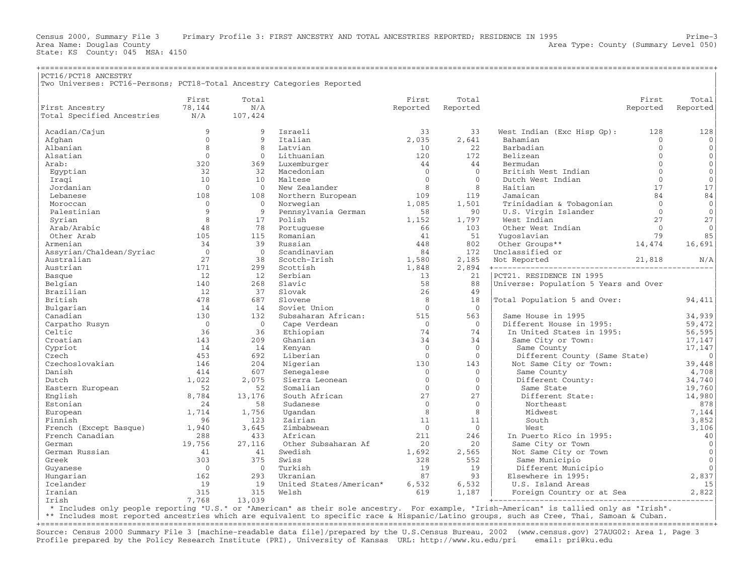State: KS County: 045 MSA: 4150

| PCT16/PCT18 ANCESTRY<br>Two Universes: PCT16-Persons; PCT18-Total Ancestry Categories Reported<br>First<br>Total<br>First<br>Total<br>First<br>Total<br>78,144<br>N/A<br>First Ancestry<br>Reported<br>Reported<br>Reported<br>Reported<br>Total Specified Ancestries<br>N/A<br>107,424<br>Acadian/Cajun<br>9<br>$\mathsf{Q}$<br>Israeli<br>33<br>33<br>128<br>128<br>West Indian (Exc Hisp Gp):<br>$\Omega$<br>2,035<br>2,641<br>9<br>Italian<br>Afghan<br>Bahamian<br>$\Omega$<br>$\mathbf{0}$<br>8<br>8<br>Latvian<br>Barbadian<br>$\Omega$<br>$\mathbf{0}$<br>Albanian<br>10<br>22<br>$\Omega$<br>$\Omega$<br>Lithuanian<br>120<br>172<br>Belizean<br>$\Omega$<br>$\mathbf 0$<br>Alsatian<br>$\mathbf{0}$<br>Arab:<br>320<br>369<br>Luxemburger<br>44<br>44<br>Bermudan<br>$\Omega$<br>$\mathbb O$<br>32<br>32<br>Macedonian<br>$\overline{0}$<br>$\Omega$<br>British West Indian<br>$\Omega$<br>Egyptian<br>$\mathsf{O}\xspace$<br>$\bigcirc$<br>10<br>10<br>Maltese<br>$\mathbf{0}$<br>Dutch West Indian<br>$\Omega$<br>Iraqi<br>$\overline{0}$<br>$\Omega$<br>8<br>8<br>17<br>Jordanian<br>New Zealander<br>Haitian<br>17<br>84<br>108<br>Northern European<br>109<br>119<br>84<br>Lebanese<br>108<br>Jamaican<br>$\Omega$<br>$\Omega$<br>$\Omega$<br>Norwegian<br>1,085<br>1,501<br>Trinidadian & Tobagonian<br>$\Omega$<br>Moroccan<br>9<br>9<br>Pennsylvania German<br>58<br>90<br>U.S. Virgin Islander<br>$\overline{0}$<br>$\mathbf{0}$<br>Palestinian<br>27<br>8<br>2.7<br>17<br>Polish<br>1,152<br>1,797<br>West Indian<br>Syrian<br>48<br>78<br>66<br>103<br>$\bigcirc$<br>$\mathbf{0}$<br>Arab/Arabic<br>Portuguese<br>Other West Indian<br>51<br>79<br>85<br>Other Arab<br>105<br>Romanian<br>41<br>115<br>Yugoslavian<br>34<br>39<br>Russian<br>448<br>802<br>Other Groups**<br>14,474<br>16,691<br>Armenian<br>$\bigcirc$<br>Assyrian/Chaldean/Syriac<br>$\overline{0}$<br>Scandinavian<br>84<br>172<br>Unclassified or<br>Australian<br>27<br>38<br>Scotch-Irish<br>1,580<br>2,185<br>21,818<br>N/A<br>Not Reported<br>171<br>2,894<br>Austrian<br>299<br>Scottish<br>1,848<br>+------------------------------------ |
|------------------------------------------------------------------------------------------------------------------------------------------------------------------------------------------------------------------------------------------------------------------------------------------------------------------------------------------------------------------------------------------------------------------------------------------------------------------------------------------------------------------------------------------------------------------------------------------------------------------------------------------------------------------------------------------------------------------------------------------------------------------------------------------------------------------------------------------------------------------------------------------------------------------------------------------------------------------------------------------------------------------------------------------------------------------------------------------------------------------------------------------------------------------------------------------------------------------------------------------------------------------------------------------------------------------------------------------------------------------------------------------------------------------------------------------------------------------------------------------------------------------------------------------------------------------------------------------------------------------------------------------------------------------------------------------------------------------------------------------------------------------------------------------------------------------------------------------------------------------------------------------------------------------------------------------------------------------------------------------------------------------------------------------------------------------------------------------------------------------------------------------|
|                                                                                                                                                                                                                                                                                                                                                                                                                                                                                                                                                                                                                                                                                                                                                                                                                                                                                                                                                                                                                                                                                                                                                                                                                                                                                                                                                                                                                                                                                                                                                                                                                                                                                                                                                                                                                                                                                                                                                                                                                                                                                                                                          |
|                                                                                                                                                                                                                                                                                                                                                                                                                                                                                                                                                                                                                                                                                                                                                                                                                                                                                                                                                                                                                                                                                                                                                                                                                                                                                                                                                                                                                                                                                                                                                                                                                                                                                                                                                                                                                                                                                                                                                                                                                                                                                                                                          |
|                                                                                                                                                                                                                                                                                                                                                                                                                                                                                                                                                                                                                                                                                                                                                                                                                                                                                                                                                                                                                                                                                                                                                                                                                                                                                                                                                                                                                                                                                                                                                                                                                                                                                                                                                                                                                                                                                                                                                                                                                                                                                                                                          |
|                                                                                                                                                                                                                                                                                                                                                                                                                                                                                                                                                                                                                                                                                                                                                                                                                                                                                                                                                                                                                                                                                                                                                                                                                                                                                                                                                                                                                                                                                                                                                                                                                                                                                                                                                                                                                                                                                                                                                                                                                                                                                                                                          |
|                                                                                                                                                                                                                                                                                                                                                                                                                                                                                                                                                                                                                                                                                                                                                                                                                                                                                                                                                                                                                                                                                                                                                                                                                                                                                                                                                                                                                                                                                                                                                                                                                                                                                                                                                                                                                                                                                                                                                                                                                                                                                                                                          |
|                                                                                                                                                                                                                                                                                                                                                                                                                                                                                                                                                                                                                                                                                                                                                                                                                                                                                                                                                                                                                                                                                                                                                                                                                                                                                                                                                                                                                                                                                                                                                                                                                                                                                                                                                                                                                                                                                                                                                                                                                                                                                                                                          |
|                                                                                                                                                                                                                                                                                                                                                                                                                                                                                                                                                                                                                                                                                                                                                                                                                                                                                                                                                                                                                                                                                                                                                                                                                                                                                                                                                                                                                                                                                                                                                                                                                                                                                                                                                                                                                                                                                                                                                                                                                                                                                                                                          |
|                                                                                                                                                                                                                                                                                                                                                                                                                                                                                                                                                                                                                                                                                                                                                                                                                                                                                                                                                                                                                                                                                                                                                                                                                                                                                                                                                                                                                                                                                                                                                                                                                                                                                                                                                                                                                                                                                                                                                                                                                                                                                                                                          |
|                                                                                                                                                                                                                                                                                                                                                                                                                                                                                                                                                                                                                                                                                                                                                                                                                                                                                                                                                                                                                                                                                                                                                                                                                                                                                                                                                                                                                                                                                                                                                                                                                                                                                                                                                                                                                                                                                                                                                                                                                                                                                                                                          |
|                                                                                                                                                                                                                                                                                                                                                                                                                                                                                                                                                                                                                                                                                                                                                                                                                                                                                                                                                                                                                                                                                                                                                                                                                                                                                                                                                                                                                                                                                                                                                                                                                                                                                                                                                                                                                                                                                                                                                                                                                                                                                                                                          |
|                                                                                                                                                                                                                                                                                                                                                                                                                                                                                                                                                                                                                                                                                                                                                                                                                                                                                                                                                                                                                                                                                                                                                                                                                                                                                                                                                                                                                                                                                                                                                                                                                                                                                                                                                                                                                                                                                                                                                                                                                                                                                                                                          |
|                                                                                                                                                                                                                                                                                                                                                                                                                                                                                                                                                                                                                                                                                                                                                                                                                                                                                                                                                                                                                                                                                                                                                                                                                                                                                                                                                                                                                                                                                                                                                                                                                                                                                                                                                                                                                                                                                                                                                                                                                                                                                                                                          |
|                                                                                                                                                                                                                                                                                                                                                                                                                                                                                                                                                                                                                                                                                                                                                                                                                                                                                                                                                                                                                                                                                                                                                                                                                                                                                                                                                                                                                                                                                                                                                                                                                                                                                                                                                                                                                                                                                                                                                                                                                                                                                                                                          |
|                                                                                                                                                                                                                                                                                                                                                                                                                                                                                                                                                                                                                                                                                                                                                                                                                                                                                                                                                                                                                                                                                                                                                                                                                                                                                                                                                                                                                                                                                                                                                                                                                                                                                                                                                                                                                                                                                                                                                                                                                                                                                                                                          |
|                                                                                                                                                                                                                                                                                                                                                                                                                                                                                                                                                                                                                                                                                                                                                                                                                                                                                                                                                                                                                                                                                                                                                                                                                                                                                                                                                                                                                                                                                                                                                                                                                                                                                                                                                                                                                                                                                                                                                                                                                                                                                                                                          |
|                                                                                                                                                                                                                                                                                                                                                                                                                                                                                                                                                                                                                                                                                                                                                                                                                                                                                                                                                                                                                                                                                                                                                                                                                                                                                                                                                                                                                                                                                                                                                                                                                                                                                                                                                                                                                                                                                                                                                                                                                                                                                                                                          |
|                                                                                                                                                                                                                                                                                                                                                                                                                                                                                                                                                                                                                                                                                                                                                                                                                                                                                                                                                                                                                                                                                                                                                                                                                                                                                                                                                                                                                                                                                                                                                                                                                                                                                                                                                                                                                                                                                                                                                                                                                                                                                                                                          |
|                                                                                                                                                                                                                                                                                                                                                                                                                                                                                                                                                                                                                                                                                                                                                                                                                                                                                                                                                                                                                                                                                                                                                                                                                                                                                                                                                                                                                                                                                                                                                                                                                                                                                                                                                                                                                                                                                                                                                                                                                                                                                                                                          |
|                                                                                                                                                                                                                                                                                                                                                                                                                                                                                                                                                                                                                                                                                                                                                                                                                                                                                                                                                                                                                                                                                                                                                                                                                                                                                                                                                                                                                                                                                                                                                                                                                                                                                                                                                                                                                                                                                                                                                                                                                                                                                                                                          |
|                                                                                                                                                                                                                                                                                                                                                                                                                                                                                                                                                                                                                                                                                                                                                                                                                                                                                                                                                                                                                                                                                                                                                                                                                                                                                                                                                                                                                                                                                                                                                                                                                                                                                                                                                                                                                                                                                                                                                                                                                                                                                                                                          |
|                                                                                                                                                                                                                                                                                                                                                                                                                                                                                                                                                                                                                                                                                                                                                                                                                                                                                                                                                                                                                                                                                                                                                                                                                                                                                                                                                                                                                                                                                                                                                                                                                                                                                                                                                                                                                                                                                                                                                                                                                                                                                                                                          |
|                                                                                                                                                                                                                                                                                                                                                                                                                                                                                                                                                                                                                                                                                                                                                                                                                                                                                                                                                                                                                                                                                                                                                                                                                                                                                                                                                                                                                                                                                                                                                                                                                                                                                                                                                                                                                                                                                                                                                                                                                                                                                                                                          |
|                                                                                                                                                                                                                                                                                                                                                                                                                                                                                                                                                                                                                                                                                                                                                                                                                                                                                                                                                                                                                                                                                                                                                                                                                                                                                                                                                                                                                                                                                                                                                                                                                                                                                                                                                                                                                                                                                                                                                                                                                                                                                                                                          |
|                                                                                                                                                                                                                                                                                                                                                                                                                                                                                                                                                                                                                                                                                                                                                                                                                                                                                                                                                                                                                                                                                                                                                                                                                                                                                                                                                                                                                                                                                                                                                                                                                                                                                                                                                                                                                                                                                                                                                                                                                                                                                                                                          |
| 12<br>12<br>Serbian<br>13<br>21<br>PCT21. RESIDENCE IN 1995<br>Basque                                                                                                                                                                                                                                                                                                                                                                                                                                                                                                                                                                                                                                                                                                                                                                                                                                                                                                                                                                                                                                                                                                                                                                                                                                                                                                                                                                                                                                                                                                                                                                                                                                                                                                                                                                                                                                                                                                                                                                                                                                                                    |
| 140<br>Slavic<br>58<br>268<br>88<br>Universe: Population 5 Years and Over<br>Belgian                                                                                                                                                                                                                                                                                                                                                                                                                                                                                                                                                                                                                                                                                                                                                                                                                                                                                                                                                                                                                                                                                                                                                                                                                                                                                                                                                                                                                                                                                                                                                                                                                                                                                                                                                                                                                                                                                                                                                                                                                                                     |
| Slovak<br>26<br>Brazilian<br>12<br>37<br>49                                                                                                                                                                                                                                                                                                                                                                                                                                                                                                                                                                                                                                                                                                                                                                                                                                                                                                                                                                                                                                                                                                                                                                                                                                                                                                                                                                                                                                                                                                                                                                                                                                                                                                                                                                                                                                                                                                                                                                                                                                                                                              |
| 478<br>687<br>Slovene<br>8<br>18<br>Total Population 5 and Over:<br>94,411<br>British                                                                                                                                                                                                                                                                                                                                                                                                                                                                                                                                                                                                                                                                                                                                                                                                                                                                                                                                                                                                                                                                                                                                                                                                                                                                                                                                                                                                                                                                                                                                                                                                                                                                                                                                                                                                                                                                                                                                                                                                                                                    |
| 14<br>14<br>Soviet Union<br>$\Omega$<br>Bulgarian<br>$\Omega$                                                                                                                                                                                                                                                                                                                                                                                                                                                                                                                                                                                                                                                                                                                                                                                                                                                                                                                                                                                                                                                                                                                                                                                                                                                                                                                                                                                                                                                                                                                                                                                                                                                                                                                                                                                                                                                                                                                                                                                                                                                                            |
| 130<br>132<br>Subsaharan African:<br>515<br>563<br>34,939<br>Canadian<br>Same House in 1995                                                                                                                                                                                                                                                                                                                                                                                                                                                                                                                                                                                                                                                                                                                                                                                                                                                                                                                                                                                                                                                                                                                                                                                                                                                                                                                                                                                                                                                                                                                                                                                                                                                                                                                                                                                                                                                                                                                                                                                                                                              |
| $\bigcirc$<br>$\bigcirc$<br>$\bigcirc$<br>Cape Verdean<br>$\Omega$<br>Different House in 1995:<br>59,472<br>Carpatho Rusyn                                                                                                                                                                                                                                                                                                                                                                                                                                                                                                                                                                                                                                                                                                                                                                                                                                                                                                                                                                                                                                                                                                                                                                                                                                                                                                                                                                                                                                                                                                                                                                                                                                                                                                                                                                                                                                                                                                                                                                                                               |
| 36<br>36<br>74<br>74<br>56,595<br>Celtic<br>Ethiopian<br>In United States in 1995:                                                                                                                                                                                                                                                                                                                                                                                                                                                                                                                                                                                                                                                                                                                                                                                                                                                                                                                                                                                                                                                                                                                                                                                                                                                                                                                                                                                                                                                                                                                                                                                                                                                                                                                                                                                                                                                                                                                                                                                                                                                       |
| 34<br>143<br>209<br>Ghanian<br>34<br>Croatian<br>Same City or Town:<br>17, 147                                                                                                                                                                                                                                                                                                                                                                                                                                                                                                                                                                                                                                                                                                                                                                                                                                                                                                                                                                                                                                                                                                                                                                                                                                                                                                                                                                                                                                                                                                                                                                                                                                                                                                                                                                                                                                                                                                                                                                                                                                                           |
| 14<br>14<br>$\Omega$<br>$\mathbf{0}$<br>Cypriot<br>Kenyan<br>Same County<br>17,147                                                                                                                                                                                                                                                                                                                                                                                                                                                                                                                                                                                                                                                                                                                                                                                                                                                                                                                                                                                                                                                                                                                                                                                                                                                                                                                                                                                                                                                                                                                                                                                                                                                                                                                                                                                                                                                                                                                                                                                                                                                       |
| $\Omega$<br>453<br>692<br>$\Omega$<br>Different County (Same State)<br>$\circ$<br>Czech<br>Liberian                                                                                                                                                                                                                                                                                                                                                                                                                                                                                                                                                                                                                                                                                                                                                                                                                                                                                                                                                                                                                                                                                                                                                                                                                                                                                                                                                                                                                                                                                                                                                                                                                                                                                                                                                                                                                                                                                                                                                                                                                                      |
| Czechoslovakian<br>146<br>204<br>130<br>143<br>Not Same City or Town:<br>39,448<br>Nigerian                                                                                                                                                                                                                                                                                                                                                                                                                                                                                                                                                                                                                                                                                                                                                                                                                                                                                                                                                                                                                                                                                                                                                                                                                                                                                                                                                                                                                                                                                                                                                                                                                                                                                                                                                                                                                                                                                                                                                                                                                                              |
| Danish<br>414<br>607<br>$\Omega$<br>$\mathbf{0}$<br>4,708<br>Senegalese<br>Same County                                                                                                                                                                                                                                                                                                                                                                                                                                                                                                                                                                                                                                                                                                                                                                                                                                                                                                                                                                                                                                                                                                                                                                                                                                                                                                                                                                                                                                                                                                                                                                                                                                                                                                                                                                                                                                                                                                                                                                                                                                                   |
| 1,022<br>2,075<br>$\mathbf{0}$<br>Dutch<br>Sierra Leonean<br>$\overline{0}$<br>Different County:<br>34,740                                                                                                                                                                                                                                                                                                                                                                                                                                                                                                                                                                                                                                                                                                                                                                                                                                                                                                                                                                                                                                                                                                                                                                                                                                                                                                                                                                                                                                                                                                                                                                                                                                                                                                                                                                                                                                                                                                                                                                                                                               |
| 52<br>52<br>$\Omega$<br>$\Omega$<br>Somalian<br>19,760<br>Eastern European<br>Same State                                                                                                                                                                                                                                                                                                                                                                                                                                                                                                                                                                                                                                                                                                                                                                                                                                                                                                                                                                                                                                                                                                                                                                                                                                                                                                                                                                                                                                                                                                                                                                                                                                                                                                                                                                                                                                                                                                                                                                                                                                                 |
| 27<br>27<br>14,980<br>English<br>8,784<br>13,176<br>South African<br>Different State:                                                                                                                                                                                                                                                                                                                                                                                                                                                                                                                                                                                                                                                                                                                                                                                                                                                                                                                                                                                                                                                                                                                                                                                                                                                                                                                                                                                                                                                                                                                                                                                                                                                                                                                                                                                                                                                                                                                                                                                                                                                    |
| $\Omega$<br>24<br>58<br>$\Omega$<br>878<br>Estonian<br>Sudanese<br>Northeast                                                                                                                                                                                                                                                                                                                                                                                                                                                                                                                                                                                                                                                                                                                                                                                                                                                                                                                                                                                                                                                                                                                                                                                                                                                                                                                                                                                                                                                                                                                                                                                                                                                                                                                                                                                                                                                                                                                                                                                                                                                             |
| 8<br>8<br>1,714<br>1,756<br>Uqandan<br>Midwest<br>7,144<br>European                                                                                                                                                                                                                                                                                                                                                                                                                                                                                                                                                                                                                                                                                                                                                                                                                                                                                                                                                                                                                                                                                                                                                                                                                                                                                                                                                                                                                                                                                                                                                                                                                                                                                                                                                                                                                                                                                                                                                                                                                                                                      |
| 3,852<br>11<br>Finnish<br>96<br>123<br>Zairian<br>11<br>South                                                                                                                                                                                                                                                                                                                                                                                                                                                                                                                                                                                                                                                                                                                                                                                                                                                                                                                                                                                                                                                                                                                                                                                                                                                                                                                                                                                                                                                                                                                                                                                                                                                                                                                                                                                                                                                                                                                                                                                                                                                                            |
| $\overline{0}$<br>$\Omega$<br>3,106<br>French (Except Basque)<br>1,940<br>3,645<br>Zimbabwean<br>West                                                                                                                                                                                                                                                                                                                                                                                                                                                                                                                                                                                                                                                                                                                                                                                                                                                                                                                                                                                                                                                                                                                                                                                                                                                                                                                                                                                                                                                                                                                                                                                                                                                                                                                                                                                                                                                                                                                                                                                                                                    |
| French Canadian<br>288<br>433<br>40<br>African<br>211<br>246<br>In Puerto Rico in 1995:                                                                                                                                                                                                                                                                                                                                                                                                                                                                                                                                                                                                                                                                                                                                                                                                                                                                                                                                                                                                                                                                                                                                                                                                                                                                                                                                                                                                                                                                                                                                                                                                                                                                                                                                                                                                                                                                                                                                                                                                                                                  |
| German<br>19,756<br>27,116<br>Other Subsaharan Af<br>20<br>20<br>Same City or Town<br>$\mathbf{0}$                                                                                                                                                                                                                                                                                                                                                                                                                                                                                                                                                                                                                                                                                                                                                                                                                                                                                                                                                                                                                                                                                                                                                                                                                                                                                                                                                                                                                                                                                                                                                                                                                                                                                                                                                                                                                                                                                                                                                                                                                                       |
| $\circ$<br>German Russian<br>41<br>Swedish<br>41<br>1,692<br>2,565<br>Not Same City or Town                                                                                                                                                                                                                                                                                                                                                                                                                                                                                                                                                                                                                                                                                                                                                                                                                                                                                                                                                                                                                                                                                                                                                                                                                                                                                                                                                                                                                                                                                                                                                                                                                                                                                                                                                                                                                                                                                                                                                                                                                                              |
| $\mathbf{0}$<br>303<br>375<br>Swiss<br>328<br>552<br>Greek<br>Same Municipio                                                                                                                                                                                                                                                                                                                                                                                                                                                                                                                                                                                                                                                                                                                                                                                                                                                                                                                                                                                                                                                                                                                                                                                                                                                                                                                                                                                                                                                                                                                                                                                                                                                                                                                                                                                                                                                                                                                                                                                                                                                             |
| $\overline{0}$<br>19<br>19<br>$\mathbf{0}$<br>$\overline{0}$<br>Turkish<br>Different Municipio<br>Guyanese                                                                                                                                                                                                                                                                                                                                                                                                                                                                                                                                                                                                                                                                                                                                                                                                                                                                                                                                                                                                                                                                                                                                                                                                                                                                                                                                                                                                                                                                                                                                                                                                                                                                                                                                                                                                                                                                                                                                                                                                                               |
| 2,837<br>162<br>293<br>87<br>93<br>Elsewhere in 1995:<br>Hungarian<br>Ukranian                                                                                                                                                                                                                                                                                                                                                                                                                                                                                                                                                                                                                                                                                                                                                                                                                                                                                                                                                                                                                                                                                                                                                                                                                                                                                                                                                                                                                                                                                                                                                                                                                                                                                                                                                                                                                                                                                                                                                                                                                                                           |
| 15<br>Icelander<br>19<br>19<br>United States/American*<br>6,532<br>6,532<br>U.S. Island Areas                                                                                                                                                                                                                                                                                                                                                                                                                                                                                                                                                                                                                                                                                                                                                                                                                                                                                                                                                                                                                                                                                                                                                                                                                                                                                                                                                                                                                                                                                                                                                                                                                                                                                                                                                                                                                                                                                                                                                                                                                                            |
| 315<br>315<br>619<br>2,822<br>Iranian<br>Welsh<br>1,187<br>Foreign Country or at Sea                                                                                                                                                                                                                                                                                                                                                                                                                                                                                                                                                                                                                                                                                                                                                                                                                                                                                                                                                                                                                                                                                                                                                                                                                                                                                                                                                                                                                                                                                                                                                                                                                                                                                                                                                                                                                                                                                                                                                                                                                                                     |
| 7,768<br>Irish<br>13,039                                                                                                                                                                                                                                                                                                                                                                                                                                                                                                                                                                                                                                                                                                                                                                                                                                                                                                                                                                                                                                                                                                                                                                                                                                                                                                                                                                                                                                                                                                                                                                                                                                                                                                                                                                                                                                                                                                                                                                                                                                                                                                                 |

| \* Includes only people reporting "U.S." or "American" as their sole ancestry. For example, "Irish−American" is tallied only as "Irish". |

\*\* Includes most reported ancestries which are equivalent to specific race & Hispanic/Latino groups, such as Cree, Thai, Samoan & Cuban.

+===================================================================================================================================================+

Source: Census 2000 Summary File 3 [machine−readable data file]/prepared by the U.S.Census Bureau, 2002 (www.census.gov) 27AUG02: Area 1, Page 3 Profile prepared by the Policy Research Institute (PRI), University of Kansas URL: http://www.ku.edu/pri email: pri@ku.edu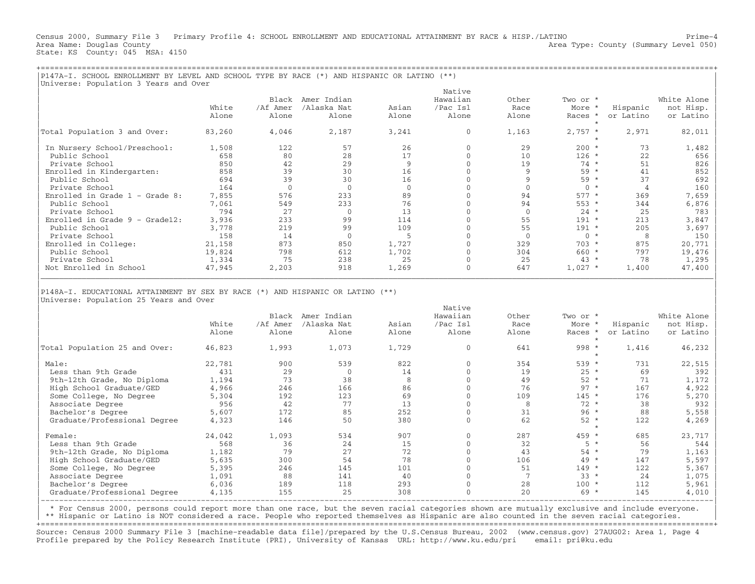Census 2000, Summary File 3 Primary Profile 4: SCHOOL ENROLLMENT AND EDUCATIONAL ATTAINMENT BY RACE & HISP./LATINO Prime−4 Area Name: Douglas County (Summary Level 050) (Area Type: County (Summary Level 050) State: KS County: 045 MSA: 4150

+===================================================================================================================================================+

|                                  |        | Black    | Amer Indian  |          | Native<br>Hawaiian | Other       | Two or *  |           | White Alone |
|----------------------------------|--------|----------|--------------|----------|--------------------|-------------|-----------|-----------|-------------|
|                                  | White  | /Af Amer | /Alaska Nat  | Asian    | /Pac Isl           | Race        | More *    | Hispanic  | not Hisp.   |
|                                  | Alone  | Alone    | Alone        | Alone    | Alone              | Alone       | Races *   | or Latino | or Latino   |
| Total Population 3 and Over:     | 83,260 | 4,046    | 2,187        | 3,241    | $\Omega$           | 1,163       | $2,757$ * | 2,971     | 82,011      |
| In Nursery School/Preschool:     | 1,508  | 122      | 57           | 26       |                    | 29          | $200 *$   | 73        | 1,482       |
| Public School                    | 658    | 80       | 28           | 17       |                    | 10          | $126 *$   | 22        | 656         |
| Private School                   | 850    | 42       | 29           | 9        |                    | 19          | $74 *$    | 51        | 826         |
| Enrolled in Kindergarten:        | 858    | 39       | 30           | 16       |                    |             | 59 *      | 41        | 852         |
| Public School                    | 694    | 39       | 30           | 16       |                    |             | $59 *$    | 37        | 692         |
| Private School                   | 164    | $\Omega$ | $\mathbf{0}$ | $\Omega$ |                    |             | $0 *$     |           | 160         |
| Enrolled in Grade $1$ - Grade 8: | 7,855  | 576      | 233          | 89       |                    | 94          | $577 *$   | 369       | 7,659       |
| Public School                    | 7,061  | 549      | 233          | 76       |                    | 94          | $553 *$   | 344       | 6,876       |
| Private School                   | 794    | 27       | $\Omega$     | 13       |                    | $\Omega$    | $24 *$    | 25        | 783         |
| Enrolled in Grade $9 -$ Grade12: | 3,936  | 233      | 99           | 114      |                    | 55          | $191 *$   | 213       | 3,847       |
| Public School                    | 3,778  | 219      | 99           | 109      |                    | 55          | $191 *$   | 205       | 3,697       |
| Private School                   | 158    | 14       | $\mathbf 0$  |          |                    | $\mathbf 0$ | $0 *$     | 8         | 150         |
| Enrolled in College:             | 21,158 | 873      | 850          | 1,727    |                    | 329         | $703 *$   | 875       | 20,771      |
| Public School                    | 19,824 | 798      | 612          | 1,702    |                    | 304         | $660 *$   | 797       | 19,476      |
| Private School                   | 1,334  | 75       | 238          | 25       |                    | 25          | $43 *$    | 78        | 1,295       |
| Not Enrolled in School           | 47,945 | 2,203    | 918          | 1,269    |                    | 647         | $1,027$ * | 1,400     | 47,400      |

|        | Black                   | Amer Indian              |                    | Hawaiian           | Other              | Two or *         |                              | White Alone        |
|--------|-------------------------|--------------------------|--------------------|--------------------|--------------------|------------------|------------------------------|--------------------|
| White  | /Af Amer                | /Alaska Nat              | Asian              | /Pac Isl           | Race               | More *           | Hispanic                     | not Hisp.          |
| Alone  | Alone                   | Alone                    | Alone              | Alone              | Alone              | Races *          | or Latino                    | or Latino          |
|        |                         |                          |                    |                    |                    |                  |                              |                    |
|        |                         |                          |                    |                    |                    |                  |                              | 46,232             |
|        |                         |                          |                    |                    |                    |                  |                              |                    |
|        |                         |                          |                    |                    |                    |                  |                              | 22,515             |
|        |                         |                          |                    |                    |                    |                  |                              | 392                |
| 1,194  |                         |                          |                    |                    | 49                 | $52 *$           | 71                           | 1,172              |
| 4,966  | 246                     | 166                      | 86                 |                    | 76                 | $97 *$           | 167                          | 4,922              |
| 5,304  | 192                     | 123                      | 69                 |                    | 109                | $145 *$          | 176                          | 5,270              |
| 956    | 42                      | 77                       | 13                 |                    | 8                  | $72 *$           | 38                           | 932                |
| 5,607  | 172                     | 85                       | 252                |                    | 31                 | $96 *$           | 88                           | 5,558              |
| 4,323  | 146                     | 50                       | 380                |                    | 62                 | $52 *$           | 122                          | 4,269              |
|        |                         |                          |                    |                    |                    |                  |                              |                    |
| 24,042 | 1,093                   | 534                      | 907                |                    | 287                | 459 *            | 685                          | 23,717             |
| 568    | 36                      | 24                       | 15                 |                    | 32                 | $5 *$            | 56                           | 544                |
| 1,182  | 79                      | 27                       | 72                 |                    | 43                 | $54 *$           | 79                           | 1,163              |
| 5,635  | 300                     | 54                       | 78                 |                    | 106                | 49 *             | 147                          | 5,597              |
| 5,395  | 246                     | 145                      | 101                |                    | 51                 | $149 *$          | 122                          | 5,367              |
| 1,091  | 88                      | 141                      | 40                 |                    |                    | $33 *$           | 24                           | 1,075              |
| 6,036  | 189                     | 118                      | 293                |                    | 28                 | $100 *$          | 112                          | 5,961              |
| 4,135  | 155                     | 25                       | 308                |                    | 20                 | $69 *$           | 145                          | 4,010              |
|        | 46,823<br>22,781<br>431 | 1,993<br>900<br>29<br>73 | 1,073<br>539<br>38 | 1,729<br>822<br>14 | Native<br>$\Omega$ | 641<br>354<br>19 | $998 *$<br>$539 *$<br>$25 *$ | 1,416<br>731<br>69 |

| \* For Census 2000, persons could report more than one race, but the seven racial categories shown are mutually exclusive and include everyone. |

\*\* Hispanic or Latino is NOT considered a race. People who reported themselves as Hispanic are also counted in the seven racial categories.

+===================================================================================================================================================+ Source: Census 2000 Summary File 3 [machine−readable data file]/prepared by the U.S.Census Bureau, 2002 (www.census.gov) 27AUG02: Area 1, Page 4 Profile prepared by the Policy Research Institute (PRI), University of Kansas URL: http://www.ku.edu/pri email: pri@ku.edu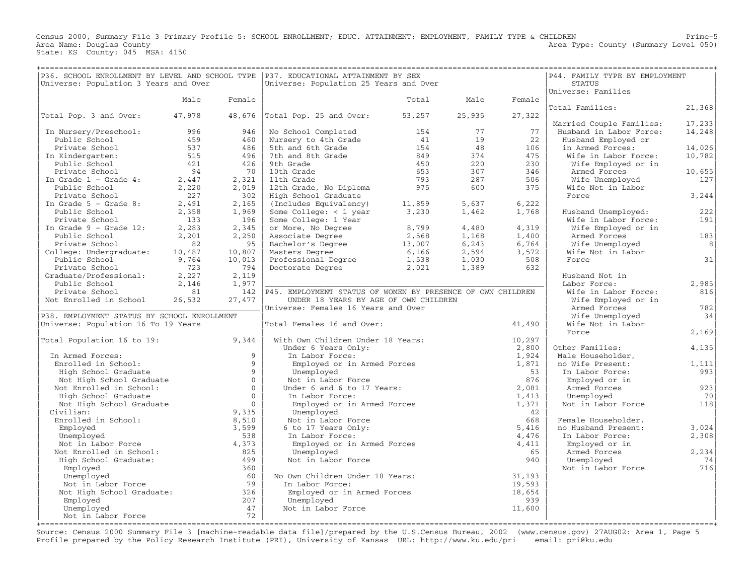Census 2000, Summary File 3 Primary Profile 5: SCHOOL ENROLLMENT; EDUC. ATTAINMENT; EMPLOYMENT, FAMILY TYPE & CHILDREN Prime−5 Area Type: County (Summary Level 050) Area Name: Douglas County<br>State: KS County: 045 MSA: 4150

|                                                                                                                |        |                | P36. SCHOOL ENROLLMENT BY LEVEL AND SCHOOL TYPE   P37. EDUCATIONAL ATTAINMENT BY SEX |        |        |        | P44. FAMILY TYPE BY EMPLOYMENT |           |
|----------------------------------------------------------------------------------------------------------------|--------|----------------|--------------------------------------------------------------------------------------|--------|--------|--------|--------------------------------|-----------|
| Universe: Population 3 Years and Over                                                                          |        |                | Universe: Population 25 Years and Over                                               |        |        |        | <b>STATUS</b>                  |           |
|                                                                                                                |        |                |                                                                                      |        |        |        | Universe: Families             |           |
|                                                                                                                | Male   | Female         |                                                                                      | Total  | Male   | Female |                                |           |
|                                                                                                                |        |                |                                                                                      |        |        |        | Total Families:                | 21,368    |
| Total Pop. 3 and Over:                                                                                         | 47,978 |                | $48,676$ Total Pop. 25 and Over:                                                     | 53,257 | 25,935 | 27,322 |                                |           |
|                                                                                                                |        |                |                                                                                      |        |        |        | Married Couple Families:       | 17, 233   |
| In Nursery/Preschool:                                                                                          | 996    | 946            | No School Completed                                                                  | 154    | 77     | 77     | Husband in Labor Force:        | 14,248    |
| Public School                                                                                                  | 459    | 460            | Nursery to 4th Grade                                                                 | 41     | 19     | 22     | Husband Employed or            |           |
| Private School                                                                                                 | 537    | 486            | 5th and 6th Grade                                                                    | 154    | 48     | 106    | in Armed Forces:               | 14,026    |
| In Kindergarten:                                                                                               | 515    | 496            | 7th and 8th Grade                                                                    | 849    | 374    | 475    | Wife in Labor Force:           | 10,782    |
| Public School                                                                                                  | 421    | 426            | 9th Grade                                                                            | 450    | 220    | 230    | Wife Employed or in            |           |
| Private School                                                                                                 | 94     | 70             | 10th Grade                                                                           | 653    | 307    | 346    | Armed Forces                   | 10,655    |
| In Grade $1$ - Grade $4$ :                                                                                     | 2,447  | 2,321          | 11th Grade                                                                           | 793    | 287    | 506    | Wife Unemployed                | 127       |
| Public School                                                                                                  | 2,220  | 2,019          | 12th Grade, No Diploma                                                               | 975    | 600    | 375    | Wife Not in Labor              |           |
| Private School                                                                                                 | 227    | 302            | High School Graduate                                                                 |        |        |        | Force                          | 3,244     |
| In Grade $5 -$ Grade 8:                                                                                        | 2,491  | 2,165          | (Includes Equivalency)                                                               | 11,859 | 5,637  | 6,222  |                                |           |
| Public School                                                                                                  | 2,358  | 1,969          | Some College: $<$ 1 year                                                             | 3,230  | 1,462  | 1,768  | Husband Unemployed:            | 222       |
| Private School                                                                                                 | 133    | 196            | Some College: 1 Year                                                                 |        |        |        | Wife in Labor Force:           | 191       |
| In Grade $9 -$ Grade 12:                                                                                       | 2,283  | 2,345          | or More, No Degree                                                                   | 8,799  | 4,480  | 4,319  | Wife Employed or in            |           |
| Public School                                                                                                  | 2,201  | 2,250          | Associate Degree                                                                     | 2,568  | 1,168  | 1,400  | Armed Forces                   | 183       |
| Private School                                                                                                 | 82     | 95             | Bachelor's Degree                                                                    | 13,007 | 6,243  | 6,764  | Wife Unemployed                | 8         |
| College: Undergraduate:                                                                                        | 10,487 | 10,807         | Masters Degree<br>Professional Degree 1,538                                          | 6,166  | 2,594  | 3,572  | Wife Not in Labor              |           |
| Public School                                                                                                  | 9,764  | 10,013         |                                                                                      |        | 1,030  | 508    | Force                          | 31        |
| Private School                                                                                                 | 723    | 794            | Doctorate Degree                                                                     | 2,021  | 1,389  | 632    |                                |           |
| Graduate/Professional:                                                                                         | 2,227  | 2,119          |                                                                                      |        |        |        | Husband Not in                 |           |
| Public School                                                                                                  | 2,146  | 1,977          |                                                                                      |        |        |        | Labor Force:                   | 2,985     |
| Private School                                                                                                 | 81     | 142            | P45. EMPLOYMENT STATUS OF WOMEN BY PRESENCE OF OWN CHILDREN                          |        |        |        | Wife in Labor Force:           | 816       |
| Not Enrolled in School                                                                                         | 26,532 | 27,477         | UNDER 18 YEARS BY AGE OF OWN CHILDREN                                                |        |        |        | Wife Employed or in            |           |
| P38. EMPLOYMENT STATUS BY SCHOOL ENROLLMENT                                                                    |        |                | Universe: Females 16 Years and Over                                                  |        |        |        | Armed Forces                   | 782<br>34 |
|                                                                                                                |        |                |                                                                                      |        |        |        | Wife Unemployed                |           |
| Universe: Population 16 To 19 Years                                                                            |        |                | Total Females 16 and Over:                                                           |        |        | 41,490 | Wife Not in Labor<br>Force     | 2,169     |
| Total Population 16 to 19:                                                                                     |        | 9,344          | With Own Children Under 18 Years:                                                    |        |        | 10,297 |                                |           |
|                                                                                                                |        |                |                                                                                      |        |        | 2,800  | Other Families:                | 4,135     |
| In Armed Forces:                                                                                               |        | $\overline{9}$ | Under 6 Years Only:<br>In Labor Force:                                               |        |        | 1,924  | Male Householder,              |           |
| Enrolled in School:                                                                                            |        | $\mathsf{Q}$   | Employed or in Armed Forces                                                          |        |        | 1,871  | no Wife Present:               | 1,111     |
| High School Graduate                                                                                           |        | $\overline{9}$ | Unemployed                                                                           |        |        | 53     | In Labor Force:                | 993       |
| Not High School Graduate                                                                                       |        | $\mathbf{0}$   | Not in Labor Force                                                                   |        |        | 876    | Employed or in                 |           |
| Not Enrolled in School:                                                                                        |        | $\overline{0}$ | Under 6 and 6 to 17 Years:                                                           |        |        | 2,081  | Armed Forces                   | 923       |
| High School Graduate                                                                                           |        | $\Omega$       | In Labor Force:                                                                      |        |        | 1,413  | Unemployed                     | 70        |
| Not High School Graduate                                                                                       |        | $\Omega$       | Employed or in Armed Forces                                                          |        |        | 1,371  | Not in Labor Force             | 118       |
| Civilian:                                                                                                      |        | 9,335          | Unemployed                                                                           |        |        | 42     |                                |           |
| Enrolled in School:                                                                                            |        | 8,510          | Not in Labor Force                                                                   |        |        | 668    | Female Householder,            |           |
| Employed                                                                                                       |        | 3,599          | 6 to 17 Years Only:                                                                  |        |        | 5,416  | no Husband Present:            | 3,024     |
| Unemployed                                                                                                     |        | 538            | In Labor Force:                                                                      |        |        | 4,476  | In Labor Force:                | 2,308     |
| Not in Labor Force                                                                                             |        | 4,373          | Employed or in Armed Forces                                                          |        |        | 4,411  | Employed or in                 |           |
| Not Enrolled in School:                                                                                        |        | 825            | Unemployed                                                                           |        |        | 65     | Armed Forces                   | 2,234     |
| High School Graduate:                                                                                          |        | 499            | Not in Labor Force                                                                   |        |        | 940    | Unemployed                     | 74        |
| Employed                                                                                                       |        | 360            |                                                                                      |        |        |        | Not in Labor Force             | 716       |
| Unemployed                                                                                                     |        | 60             | No Own Children Under 18 Years:                                                      |        |        | 31,193 |                                |           |
| Not in Labor Force                                                                                             |        | 79             | In Labor Force:                                                                      |        |        | 19,593 |                                |           |
| Not High School Graduate:                                                                                      |        | 326            | Employed or in Armed Forces                                                          |        |        | 18,654 |                                |           |
| Employed                                                                                                       |        | 207            | Unemployed                                                                           |        |        | 939    |                                |           |
| Unemployed                                                                                                     |        | 47             | Not in Labor Force                                                                   |        |        | 11,600 |                                |           |
| Not in Labor Force                                                                                             |        | 72             |                                                                                      |        |        |        |                                |           |
| +concentrate concentrate concentrate de concentrate de concentrate de concentrate de concentrate de concentrat |        |                |                                                                                      |        |        |        |                                |           |

Source: Census 2000 Summary File 3 [machine−readable data file]/prepared by the U.S.Census Bureau, 2002 (www.census.gov) 27AUG02: Area 1, Page 5 Profile prepared by the Policy Research Institute (PRI), University of Kansas URL: http://www.ku.edu/pri email: pri@ku.edu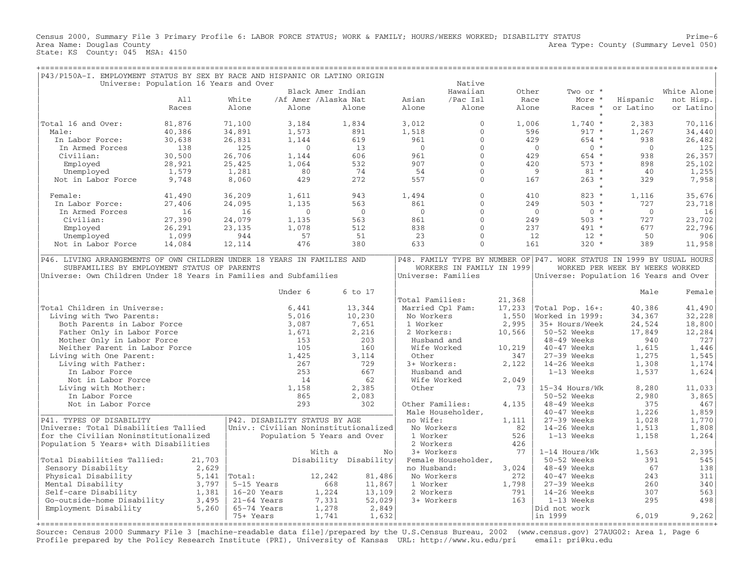Census 2000, Summary File 3 Primary Profile 6: LABOR FORCE STATUS; WORK & FAMILY; HOURS/WEEKS WORKED; DISABILITY STATUS Prime−6 Area Type: County (Summary Level 050) Area Name: Douglas County<br>State: KS County: 045 MSA: 4150

| P43/P150A-I. EMPLOYMENT STATUS BY SEX BY RACE AND HISPANIC OR LATINO ORIGIN |        |                                        |                             |                       |                           |              |           |                                                                       |                                 |                            |
|-----------------------------------------------------------------------------|--------|----------------------------------------|-----------------------------|-----------------------|---------------------------|--------------|-----------|-----------------------------------------------------------------------|---------------------------------|----------------------------|
|                                                                             |        | Universe: Population 16 Years and Over |                             |                       |                           | Native       |           |                                                                       |                                 |                            |
|                                                                             |        |                                        | Black Amer Indian           |                       |                           | Hawaiian     | Other     | Two or *                                                              |                                 | White Alone                |
|                                                                             | A11    | White                                  | /Af Amer /Alaska Nat        |                       | Asian                     | /Pac Isl     | Race      | More *                                                                | Hispanic                        | not Hisp.                  |
|                                                                             | Races  | Alone                                  | Alone                       | Alone                 | Alone                     | Alone        | Alone     | Races *                                                               | or Latino                       | or Latino                  |
|                                                                             |        |                                        |                             |                       |                           |              |           | $\star$                                                               |                                 |                            |
| Total 16 and Over:                                                          | 81,876 | 71,100                                 | 3,184                       | 1,834                 | 3,012                     | $\Omega$     | 1,006     | $1,740*$                                                              | 2,383                           | 70,116                     |
| Male:                                                                       | 40,386 | 34,891                                 | 1,573                       | 891                   | 1,518                     | $\mathbf{0}$ |           | 596<br>$917 *$                                                        | 1,267                           | 34,440                     |
| In Labor Force:                                                             | 30,638 | 26,831                                 | 1,144                       | 619                   | 961                       | $\Omega$     |           | 429<br>$654 *$                                                        | 938                             | 26,482                     |
| In Armed Forces                                                             | 138    | 125                                    | $\overline{0}$              | 13                    | $\overline{0}$            | $\mathbf{0}$ |           | $\overline{0}$<br>$0 *$                                               | $\overline{0}$                  | 125                        |
| Civilian:                                                                   | 30,500 | 26,706                                 | 1,144                       | 606                   | 961                       | $\mathbf{0}$ |           | 429<br>654 *                                                          | 938                             | 26,357                     |
| Employed                                                                    | 28,921 | 25,425                                 | 1,064                       | 532                   | 907                       | $\mathbf{0}$ |           | 420<br>$573 *$                                                        | 898                             | 25,102                     |
| Unemployed                                                                  | 1,579  | 1,281                                  | 80                          | 74                    | -54                       | $\mathbf{0}$ |           | $81 *$<br>- 9                                                         | 40                              | 1,255                      |
| Not in Labor Force                                                          | 9,748  | 8,060                                  | 429                         | 272                   | 557                       | $\Omega$     |           | $263 *$<br>167                                                        | 329                             | 7,958                      |
|                                                                             |        |                                        |                             |                       |                           |              |           | $\star$                                                               |                                 |                            |
| Female:                                                                     | 41,490 | 36,209                                 | 1,611                       | 943                   | 1,494                     | $\mathbf{0}$ |           | $823 *$<br>410                                                        | 1,116                           | 35,676                     |
| In Labor Force:                                                             | 27,406 | 24,095                                 | 1,135                       | 563                   | 861                       | $\mathbf{0}$ |           | 249<br>$503 *$                                                        | 727                             | 23,718                     |
| In Armed Forces                                                             | 16     | 16                                     | $\Omega$                    | $\bigcirc$            | $\bigcirc$                | $\Omega$     |           | $0 *$<br>$\bigcirc$                                                   | $\bigcirc$                      | 16                         |
| Civilian:                                                                   | 27,390 | 24,079                                 | 1,135                       | 563                   | 861                       | $\Omega$     |           | 249<br>$503 *$                                                        | 727                             | 23,702                     |
| Employed                                                                    | 26,291 | 23,135                                 | 1,078                       | 512                   | 838                       | $\circ$      |           | 237<br>491 *                                                          | 677                             | 22,796                     |
| Unemployed                                                                  | 1,099  | 944                                    | 57                          | 51                    | 23                        | $\Omega$     |           | 12<br>$12 *$                                                          | 50                              | 906                        |
| Not in Labor Force                                                          | 14,084 | 12,114                                 | 476                         | 380                   | 633                       | $\Omega$     |           | $320 *$<br>161                                                        | 389                             | 11,958                     |
|                                                                             |        |                                        |                             |                       |                           |              |           |                                                                       |                                 |                            |
| P46. LIVING ARRANGEMENTS OF OWN CHILDREN UNDER 18 YEARS IN FAMILIES AND     |        |                                        |                             |                       |                           |              |           | P48. FAMILY TYPE BY NUMBER OF P47. WORK STATUS IN 1999 BY USUAL HOURS |                                 |                            |
| SUBFAMILIES BY EMPLOYMENT STATUS OF PARENTS                                 |        |                                        |                             |                       | WORKERS IN FAMILY IN 1999 |              |           |                                                                       | WORKED PER WEEK BY WEEKS WORKED |                            |
| Universe: Own Children Under 18 Years in Families and Subfamilies           |        |                                        |                             |                       | Universe: Families        |              |           | Universe: Population 16 Years and Over                                |                                 |                            |
|                                                                             |        |                                        |                             |                       |                           |              |           |                                                                       |                                 |                            |
|                                                                             |        |                                        | Under 6                     | 6 to 17               |                           |              |           |                                                                       | Male                            | Female                     |
|                                                                             |        |                                        |                             |                       | Total Families:           |              | 21,368    |                                                                       |                                 |                            |
| Total Children in Universe:                                                 |        |                                        | 6,441                       | 13,344                | Married Cpl Fam:          |              | 17,233    | Total Pop. 16+:                                                       | 40,386                          | 41,490                     |
| Living with Two Parents:                                                    |        |                                        | 5,016                       | 10,230                | No Workers                |              | 1,550     | Worked in 1999:                                                       | 34,367                          | 32,228                     |
| Both Parents in Labor Force                                                 |        |                                        | 3,087                       | 7,651                 | 1 Worker                  |              | 2,995     | 35+ Hours/Week                                                        | 24,524                          | 18,800                     |
| Father Only in Labor Force                                                  |        |                                        | 1,671                       | 2,216                 | 2 Workers:                |              | 10,566    | 50-52 Weeks                                                           | 17,849                          | 12,284                     |
| Mother Only in Labor Force                                                  |        |                                        | 153                         | 203                   | Husband and               |              |           | 48-49 Weeks                                                           | 940                             | 727                        |
| Neither Parent in Labor Force                                               |        |                                        | 105                         | 160                   | Wife Worked               |              | 10,219    | $40-47$ Weeks                                                         | 1,615                           | 1,446                      |
| Living with One Parent:                                                     |        |                                        | 1,425                       | 3,114                 | Other                     |              | 347       | 27-39 Weeks                                                           | 1,275                           | 1,545                      |
| Living with Father:                                                         |        |                                        | 267                         | 729                   | 3+ Workers:               |              | 2,122     | $14-26$ Weeks                                                         | 1,308                           | 1,174                      |
| In Labor Force                                                              |        |                                        | 253                         | 667                   | Husband and               |              |           | 1-13 Weeks                                                            | 1,537                           | 1,624                      |
| Not in Labor Force                                                          |        |                                        | 14                          | 62                    | Wife Worked               |              | 2,049     |                                                                       |                                 |                            |
| Living with Mother:                                                         |        |                                        | 1,158                       | 2,385                 | Other                     |              | 73        | 15-34 Hours/Wk                                                        | 8,280                           | 11,033                     |
| In Labor Force                                                              |        |                                        | 865                         | 2,083                 |                           |              |           | 50-52 Weeks                                                           | 2,980                           | 3,865                      |
| Not in Labor Force                                                          |        |                                        | 293                         | 302                   | Other Families:           |              | 4,135     | 48-49 Weeks                                                           | 375                             | 467                        |
|                                                                             |        |                                        |                             |                       | Male Householder,         |              |           | 40-47 Weeks                                                           | 1,226                           | 1,859                      |
| P41. TYPES OF DISABILITY                                                    |        | P42. DISABILITY STATUS BY AGE          |                             |                       | no Wife:                  |              | 1,111     | $27-39$ Weeks                                                         | 1,028                           | 1,770                      |
| Universe: Total Disabilities Tallied                                        |        | Univ.: Civilian Noninstitutionalized   |                             |                       | No Workers                |              | 82        | 14-26 Weeks                                                           | 1,513                           | 1,808                      |
| for the Civilian Noninstitutionalized                                       |        |                                        | Population 5 Years and Over |                       | 1 Worker                  |              | 526       | $1-13$ Weeks                                                          | 1,158                           | 1,264                      |
|                                                                             |        |                                        |                             |                       |                           |              |           |                                                                       |                                 |                            |
| Population 5 Years+ with Disabilities                                       |        |                                        | With a                      | No                    | 2 Workers<br>3+ Workers   |              | 426<br>77 | 1-14 Hours/Wk                                                         | 1,563                           | 2,395                      |
| Total Disabilities Tallied:                                                 | 21,703 |                                        |                             | Disability Disability | Female Householder,       |              |           | 50-52 Weeks                                                           | 391                             | 545                        |
|                                                                             |        |                                        |                             |                       |                           |              |           |                                                                       |                                 |                            |
| Sensory Disability                                                          |        | 2,629                                  |                             |                       | no Husband:               |              | 3,024     | 48-49 Weeks                                                           | 67                              | 138                        |
| Physical Disability                                                         |        | $5,141$  Total:                        | 12,242                      | 81,486                | No Workers                |              | 272       | 40-47 Weeks                                                           | 243                             | 311                        |
| Mental Disability                                                           |        | 3,797<br>5-15 Years                    | 668                         | 11,867                | 1 Worker                  |              | 1,798     | 27-39 Weeks                                                           | 260                             | 340                        |
| Self-care Disability                                                        |        | 1,381<br>16-20 Years                   | 1,224                       | 13,109                | 2 Workers                 |              | 791       | 14-26 Weeks                                                           | 307                             | 563                        |
| Go-outside-home Disability                                                  |        | 3,495<br>$21-64$ Years                 | 7,331                       | 52,029                | 3+ Workers                |              | 163       | 1-13 Weeks                                                            | 295                             | 498                        |
| Employment Disability                                                       |        | 5,260<br>65-74 Years                   | 1,278                       | 2,849                 |                           |              |           | Did not work                                                          |                                 |                            |
|                                                                             |        | 75+ Years<br>====================      | 1,741                       | 1,632                 |                           |              |           | in 1999                                                               | 6,019                           | 9,262<br>:===============+ |
|                                                                             |        |                                        |                             |                       |                           |              |           |                                                                       |                                 |                            |

Source: Census 2000 Summary File 3 [machine−readable data file]/prepared by the U.S.Census Bureau, 2002 (www.census.gov) 27AUG02: Area 1, Page 6 Profile prepared by the Policy Research Institute (PRI), University of Kansas URL: http://www.ku.edu/pri email: pri@ku.edu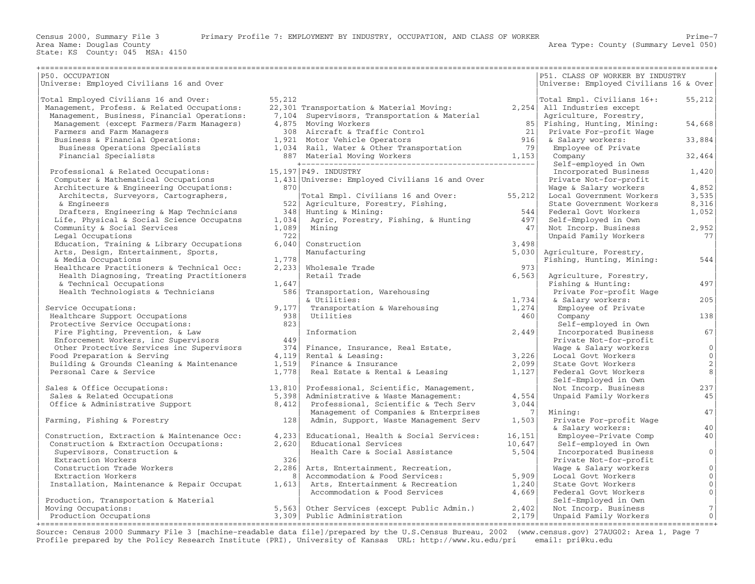+===================================================================================================================================================+|P50. OCCUPATION | PS1. CLASS OF WORKER BY INDUSTRY |Universe: Employed Civilians 16 and Over |Universe: Employed Civilians 16 & Over| | | | |Total Employed Civilians 16 and Over: 55,212 |Total Empl. Civilians 16+: 55,212| | Management, Profess. & Related Occupations: 22,301 Transportation & Material Moving: 2,254| All Industries except | | Management, Business, Financial Operations: 7,104 Supervisors, Transportation & Material | Agriculture, Forestry, | | Management (except Farmers/Farm Managers) 4,875 Moving Workers 85| Fishing, Hunting, Mining: 54,668| | Farmers and Farm Managers 308 Aircraft & Traffic Control 21| Private For−profit Wage | | Business & Financial Operations: 1,921 Motor Vehicle Operators 916| & Salary workers: 33,884| | Business Operations Specialists 1,034 Rail, Water & Other Transportation 79| Employee of Private | | Financial Specialists 887 Material Moving Workers 1,153| Company 32,464| | +−−−−−−−−−−−−−−−−−−−−−−−−−−−−−−−−−−−−−−−−−−−−−−−−−−−| Self−employed in Own | | Professional & Related Occupations: 15,197|P49. INDUSTRY | Incorporated Business 1,420| | Computer & Mathematical Occupations 1,431|Universe: Employed Civilians 16 and Over | Private Not−for−profit | | Architecture & Engineering Occupations: 870| | Wage & Salary workers 4,852| | Architects, Surveyors, Cartographers, |Total Empl. Civilians 16 and Over: 55,212| Local Government Workers 3,535| | & Engineers 522| Agriculture, Forestry, Fishing, | State Government Workers 8,316| | Drafters, Engineering & Map Technicians 348| Hunting & Mining: 544| Federal Govt Workers 1,052| | Life, Physical & Social Science Occupatns 1,034| Agric, Forestry, Fishing, & Hunting 497| Self−Employed in Own | | Community & Social Services 1,089| Mining 47| Not Incorp. Business 2,952| | Legal Occupations 722| | Unpaid Family Workers 77| | Education, Training & Library Occupations 6,040| Construction 3,498| | | Arts, Design, Entertainment, Sports, | Manufacturing 5,030| Agriculture, Forestry, | & Media Occupations 1,778| | Fishing, Hunting, Mining: 544| | Healthcare Practitioners & Technical Occ: 2,233| Wholesale Trade 973| | | Health Diagnosing, Treating Practitioners | Retail Trade 6,563| Agriculture, Forestry, | | & Technical Occupations 1,647| | Fishing & Hunting: 497| | Health Technologists & Technicians 586| Transportation, Warehousing | Private For−profit Wage | | | & Utilities: 1,734| & Salary workers: 205| | Service Occupations:  $9,177$ | Transportation & Warehousing  $1,274$ | Employee of Private | Healthcare Support Occupations 938| Utilities 460| Company 138| | Protective Service Occupations: 823| | Self−employed in Own | | Fire Fighting, Prevention, & Law | Information 2,449| Incorporated Business 67| | Enforcement Workers, inc Supervisors 449| | Private Not−for−profit | | Other Protective Services inc Supervisors 374| Finance, Insurance, Real Estate, | Wage & Salary workers 0| | Food Preparation & Serving 4,119| Rental & Leasing: 3,226| Local Govt Workers 0| | Building & Grounds Cleaning & Maintenance 1,519| Finance & Insurance 2,099| State Govt Workers 2| | Personal Care & Service 1,778| Real Estate & Rental & Leasing 1,127| Federal Govt Workers 8| | | | Self−Employed in Own | | Sales & Office Occupations: 13,810| Professional, Scientific, Management, | Not Incorp. Business 237| | Sales & Related Occupations 5,398| Administrative & Waste Management: 4,554| Unpaid Family Workers 45| | Office & Administrative Support 8,412| Professional, Scientific & Tech Serv 3,044| | | | Management of Companies & Enterprises 7| Mining: 47| | Farming, Fishing & Forestry 128| Admin, Support, Waste Management Serv 1,503| Private For−profit Wage |  $\vert$  & Salary workers:  $^{40}$ 0. 2008. [2018] Construction, Extraction & Maintenance Occ: 4,233| Educational, Health & Social Services: 16,151| Employee−Private Comp 40<br>Construction & Extraction Occupations: 2,620| Educational Services 10,647| Self-| Construction & Extraction Occupations: 2,620| Educational Services 10,647| Self−employed in Own | | Supervisors, Construction & | Health Care & Social Assistance 5,504| Incorporated Business 0| | Extraction Workers 326| | Private Not−for−profit | | Construction Trade Workers 2,286| Arts, Entertainment, Recreation, | Wage & Salary workers 0| | Extraction Workers 8| Accommodation & Food Services: 5,909| Local Govt Workers 0| | Installation, Maintenance & Repair Occupat 1,613| Arts, Entertainment & Recreation 1,240| State Govt Workers 0| | | Accommodation & Food Services 4,669| Federal Govt Workers 0| | Production, Transportation & Material | | Self−Employed in Own | | Moving Occupations: 5,563| Other Services (except Public Admin.) 2,402| Not Incorp. Business 7|

+===================================================================================================================================================+Source: Census 2000 Summary File 3 [machine−readable data file]/prepared by the U.S.Census Bureau, 2002 (www.census.gov) 27AUG02: Area 1, Page 7 Profile prepared by the Policy Research Institute (PRI), University of Kansas URL: http://www.ku.edu/pri email: pri@ku.edu

| Production Occupations 3,309| Public Administration 2,179| Unpaid Family Workers 0|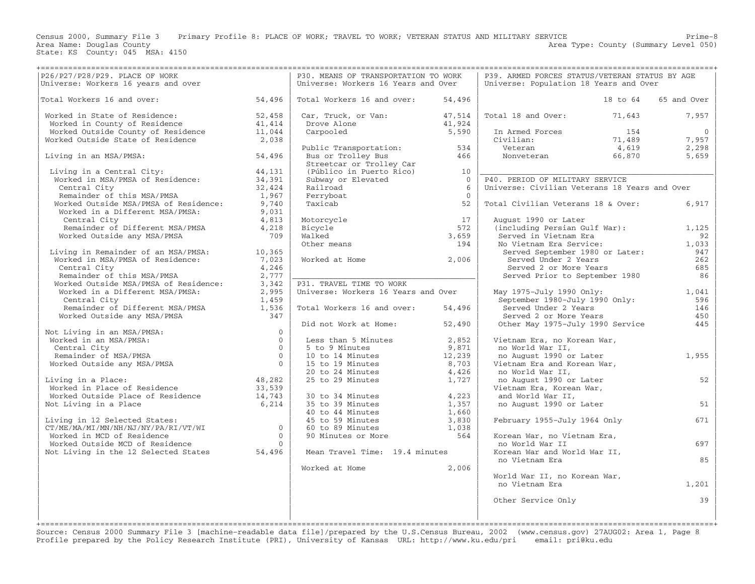Area Name: Douglas County<br>State: KS County: 045 MSA: 4150

Census 2000, Summary File 3 Primary Profile 8: PLACE OF WORK; TRAVEL TO WORK; VETERAN STATUS AND MILITARY SERVICE Prime−8

Area Type: County (Summary Level 050)

|                                                                                                                                                                                                                                                  |                                   | P30. MEANS OF TRANSPORTATION TO WORK                                                                                          |                | P39. ARMED FORCES STATUS/VETERAN STATUS BY AGE |                                                                 |                |
|--------------------------------------------------------------------------------------------------------------------------------------------------------------------------------------------------------------------------------------------------|-----------------------------------|-------------------------------------------------------------------------------------------------------------------------------|----------------|------------------------------------------------|-----------------------------------------------------------------|----------------|
|                                                                                                                                                                                                                                                  |                                   | Universe: Workers 16 Years and Over                                                                                           |                | Universe: Population 18 Years and Over         |                                                                 |                |
|                                                                                                                                                                                                                                                  |                                   |                                                                                                                               |                |                                                |                                                                 |                |
| Total Workers 16 and over:<br>54,496                                                                                                                                                                                                             |                                   | Total Workers 16 and over:                                                                                                    | 54,496         |                                                | 18 to 64                                                        | 65 and Over    |
| Worked in State of Residence:                                                                                                                                                                                                                    | 52,458                            | Car, Truck, or Van: 47,514                                                                                                    |                | Total 18 and Over: 71,643                      |                                                                 | 7,957          |
| Worked in State of Residence:<br>Worked in County of Residence 41,414<br>Worked Outside County of Residence 11,044<br>Worked Outside State of Residence 2,038                                                                                    |                                   |                                                                                                                               |                |                                                |                                                                 |                |
|                                                                                                                                                                                                                                                  |                                   | Drove Alone 11,924<br>Carpooled 5,590                                                                                         |                | In Armed Forces                                | 154                                                             | $\overline{0}$ |
|                                                                                                                                                                                                                                                  |                                   |                                                                                                                               |                | Civilian:                                      |                                                                 | 7,957          |
|                                                                                                                                                                                                                                                  |                                   | Public Transportation: 534<br>Bus or Trolley Bus 366                                                                          |                | Veteran<br>Nonveteran                          |                                                                 | 2,298          |
| Living in an MSA/PMSA:                                                                                                                                                                                                                           | 54,496                            |                                                                                                                               |                |                                                | $\begin{array}{r} 154 \\ 71,489 \\ 4,619 \\ 66,870 \end{array}$ | 5,659          |
|                                                                                                                                                                                                                                                  |                                   | Streetcar or Trolley Car                                                                                                      |                |                                                |                                                                 |                |
| Living in a Central City: 44,131<br>Worked in MSA/PMSA of Residence: 34,391                                                                                                                                                                      |                                   | (Público in Puerto Rico) 10<br>(Público in Puerto Rico) 10                                                                    |                |                                                |                                                                 |                |
|                                                                                                                                                                                                                                                  |                                   | Subway or Elevated                                                                                                            | $\overline{0}$ | P40. PERIOD OF MILITARY SERVICE                |                                                                 |                |
| Central City<br>Central City<br>Remainder of this MSA/PMSA<br>Morked Outside MSA/PMSA of Residence:<br>Worked in a Different MSA/PMSA:<br>2,740<br>Worked in a Different MSA/PMSA:<br>2,813<br>Remainder of Different MSA/PMSA 4,218<br>Remainde |                                   | Railroad                                                                                                                      | 6              | Universe: Civilian Veterans 18 Years and Over  |                                                                 |                |
|                                                                                                                                                                                                                                                  |                                   | Ferryboat                                                                                                                     | $\Omega$       |                                                |                                                                 |                |
|                                                                                                                                                                                                                                                  |                                   | Taxicab                                                                                                                       | 52             | Total Civilian Veterans 18 & Over:             |                                                                 | 6,917          |
|                                                                                                                                                                                                                                                  |                                   |                                                                                                                               |                |                                                |                                                                 |                |
|                                                                                                                                                                                                                                                  |                                   |                                                                                                                               | 17             | August 1990 or Later                           |                                                                 |                |
|                                                                                                                                                                                                                                                  |                                   |                                                                                                                               | 572            | (including Persian Gulf War):                  |                                                                 | 1,125          |
| Worked Outside any MSA/PMSA                                                                                                                                                                                                                      | 709                               | motorcycle<br>Bicycle<br>Walked<br>Other means                                                                                | 3,659          | Served in Vietnam Era                          |                                                                 | 92             |
|                                                                                                                                                                                                                                                  |                                   |                                                                                                                               | 194            | No Vietnam Era Service:                        |                                                                 | 1,033          |
|                                                                                                                                                                                                                                                  |                                   |                                                                                                                               |                | Served September 1980 or Later:                |                                                                 | 947            |
|                                                                                                                                                                                                                                                  |                                   | Worked at Home 2,006                                                                                                          |                | Served Under 2 Years                           |                                                                 | 262            |
|                                                                                                                                                                                                                                                  |                                   |                                                                                                                               |                | Served 2 or More Years                         |                                                                 | 685            |
|                                                                                                                                                                                                                                                  |                                   |                                                                                                                               |                | Served Prior to September 1980                 |                                                                 | 86             |
|                                                                                                                                                                                                                                                  |                                   | P31. TRAVEL TIME TO WORK<br>Universe: Workers 16 Years and Over                                                               |                |                                                |                                                                 |                |
|                                                                                                                                                                                                                                                  |                                   |                                                                                                                               |                | May 1975-July 1990 Only:                       |                                                                 | 1,041          |
| Living in Remainder of an MSA/PMSA:<br>Worked in MSA/PMSA of Residence:<br>Central City<br>Remainder of this MSA/PMSA and the 1246<br>Remainder of this MSA/PMSA and the 2,777<br>Worked Outside MSA/PMSA and the 2,995<br>Central City<br>R     |                                   | Total Workers 16 and over:                                                                                                    | 54,496         | September 1980-July 1990 Only:                 |                                                                 | 596<br>146     |
|                                                                                                                                                                                                                                                  |                                   |                                                                                                                               |                | Served Under 2 Years<br>Served 2 or More Years |                                                                 | 450            |
|                                                                                                                                                                                                                                                  |                                   | Did not Work at Home:                                                                                                         | 52,490         | Other May 1975-July 1990 Service               |                                                                 | 445            |
| Not Living in an MSA/PMSA:<br>Worked in an MSA/PMSA:<br>Central City<br>Remainder of MSA/PMSA<br>Worked Outside any MSA/PMSA 00<br>Not Living in an MSA/PMSA:                                                                                    | $\overline{0}$                    |                                                                                                                               |                |                                                |                                                                 |                |
|                                                                                                                                                                                                                                                  |                                   | Less than 5 Minutes                                                                                                           | 2,852          | Vietnam Era, no Korean War,                    |                                                                 |                |
|                                                                                                                                                                                                                                                  | $\overline{0}$                    | 5 to 9 Minutes                                                                                                                | 9,871          | no World War II,                               |                                                                 |                |
|                                                                                                                                                                                                                                                  | $\overline{0}$                    | 5 to 9 Minutes 9,8/1<br>10 to 14 Minutes 12,239<br>15 to 19 Minutes 8,703                                                     |                | no August 1990 or Later                        |                                                                 | 1,955          |
|                                                                                                                                                                                                                                                  |                                   |                                                                                                                               |                | Vietnam Era and Korean War,                    |                                                                 |                |
|                                                                                                                                                                                                                                                  |                                   | 20 to 24 Minutes<br>25 to 29 Minutes                                                                                          | 4,426          | no World War II,                               |                                                                 |                |
| Living in a Place:                                                                                                                                                                                                                               | 48,282                            |                                                                                                                               | 1,727          | no August 1990 or Later                        |                                                                 | 52             |
|                                                                                                                                                                                                                                                  |                                   |                                                                                                                               |                | Vietnam Era, Korean War,                       |                                                                 |                |
|                                                                                                                                                                                                                                                  |                                   |                                                                                                                               |                | and World War II,                              |                                                                 |                |
| Living in a Place:<br>Worked in Place of Residence<br>Worked Outside Place of Residence<br>Not Living in a Place<br>Not Living in a Place                                                                                                        | $33, 55$<br>$14, 743$<br>$6, 214$ | 30 to 34 Minutes<br>35 to 39 Minutes<br>40 to 44 Minutes<br>45 to 59 Minutes<br>60 to 89 Minutes<br>90 Minutes or More<br>564 |                | no August 1990 or Later                        |                                                                 | 51             |
|                                                                                                                                                                                                                                                  |                                   |                                                                                                                               |                |                                                |                                                                 |                |
| Living in 12 Selected States:<br>CT/ME/MA/MI/MN/NH/NJ/NY/PA/RI/VT/WI<br>CT/ME/MA/MI/MN/NH/NJ/NY/PA/RI/VT/WI<br>0                                                                                                                                 |                                   |                                                                                                                               |                | February 1955-July 1964 Only                   |                                                                 | 671            |
|                                                                                                                                                                                                                                                  |                                   |                                                                                                                               |                |                                                |                                                                 |                |
|                                                                                                                                                                                                                                                  |                                   |                                                                                                                               |                | Korean War, no Vietnam Era,                    |                                                                 |                |
|                                                                                                                                                                                                                                                  |                                   |                                                                                                                               |                | no World War II                                |                                                                 | 697            |
| Worked Outside MCD of Residence<br>Not Living in the 12 Selected States 54,496                                                                                                                                                                   |                                   | Mean Travel Time: 19.4 minutes                                                                                                |                | Korean War and World War II,                   |                                                                 |                |
|                                                                                                                                                                                                                                                  |                                   |                                                                                                                               |                | no Vietnam Era                                 |                                                                 | 85             |
|                                                                                                                                                                                                                                                  |                                   | Worked at Home                                                                                                                | 2,006          |                                                |                                                                 |                |
|                                                                                                                                                                                                                                                  |                                   |                                                                                                                               |                | World War II, no Korean War,                   |                                                                 |                |
|                                                                                                                                                                                                                                                  |                                   |                                                                                                                               |                | no Vietnam Era                                 |                                                                 | 1,201          |
|                                                                                                                                                                                                                                                  |                                   |                                                                                                                               |                |                                                |                                                                 |                |
|                                                                                                                                                                                                                                                  |                                   |                                                                                                                               |                | Other Service Only                             |                                                                 | 39             |
|                                                                                                                                                                                                                                                  |                                   |                                                                                                                               |                |                                                |                                                                 |                |
|                                                                                                                                                                                                                                                  |                                   |                                                                                                                               |                |                                                |                                                                 |                |

Source: Census 2000 Summary File 3 [machine−readable data file]/prepared by the U.S.Census Bureau, 2002 (www.census.gov) 27AUG02: Area 1, Page 8 Profile prepared by the Policy Research Institute (PRI), University of Kansas URL: http://www.ku.edu/pri email: pri@ku.edu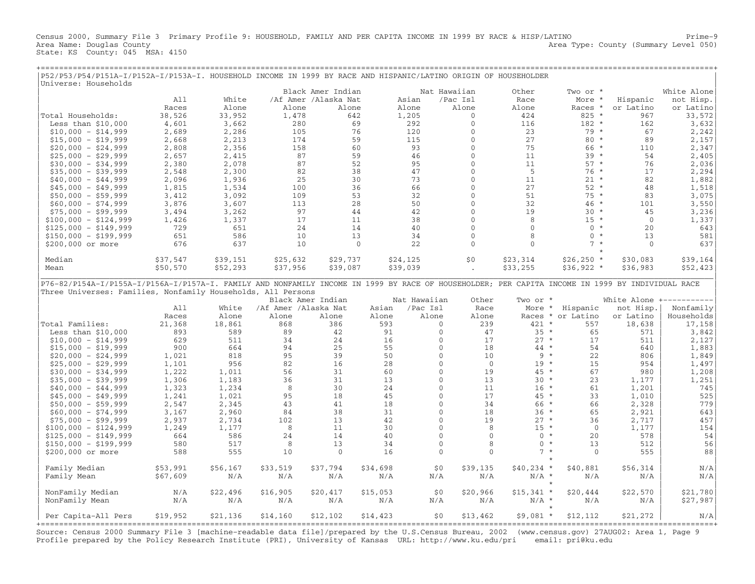Census 2000, Summary File 3 Primary Profile 9: HOUSEHOLD, FAMILY AND PER CAPITA INCOME IN 1999 BY RACE & HISP/LATINO Prime−9 Area Name: Douglas County (Summary Level 050) (Area Type: County (Summary Level 050) State: KS County: 045 MSA: 4150

+===================================================================================================================================================+

|P52/P53/P54/P151A−I/P152A−I/P153A−I. HOUSEHOLD INCOME IN 1999 BY RACE AND HISPANIC/LATINO ORIGIN OF HOUSEHOLDER |

| P3Z/P33/P34/PI3IA-I/PI3ZA-I/PI33A-I. HOUSEHOLD INCOME IN 1999 BY KACE AND HISPANIC/LATINO OKIGIN OF HOUSEHOLDEK<br>Universe: Households                                                                          |          |          |                      |                      |          |              |                |                                       |                   |              |                                      |
|------------------------------------------------------------------------------------------------------------------------------------------------------------------------------------------------------------------|----------|----------|----------------------|----------------------|----------|--------------|----------------|---------------------------------------|-------------------|--------------|--------------------------------------|
|                                                                                                                                                                                                                  |          |          |                      | Black Amer Indian    |          | Nat Hawaiian |                | Other                                 | Two or *          |              | White Alone                          |
|                                                                                                                                                                                                                  | A11      | White    |                      | /Af Amer /Alaska Nat | Asian    |              | /Pac Isl       | Race                                  | More *            | Hispanic     | not Hisp.                            |
|                                                                                                                                                                                                                  | Races    | Alone    | Alone                | Alone                | Alone    |              | Alone          | Alone                                 | Races *           | or Latino    | or Latino                            |
| Total Households:                                                                                                                                                                                                | 38,526   | 33,952   | 1,478                | 642                  | 1,205    |              | $\mathbf{0}$   | 424                                   | $825 *$           | 967          | 33,572                               |
| Less than $$10,000$                                                                                                                                                                                              | 4,601    | 3,662    | 280                  | 69                   | 292      |              | $\mathbf 0$    | 116                                   | $182 *$           | 162          | 3,632                                |
| $$10,000 - $14,999$                                                                                                                                                                                              | 2,689    | 2,286    | 105                  | 76                   | 120      |              | $\mathbf{0}$   | 23                                    | 79 *              | 67           | 2,242                                |
| $$15,000 - $19,999$                                                                                                                                                                                              | 2,668    | 2,213    | 174                  | 59                   | 115      |              | $\mathbf{0}$   | 27                                    | $80 *$            | 89           | 2,157                                |
| $$20,000 - $24,999$                                                                                                                                                                                              | 2,808    | 2,356    | 158                  | 60                   |          | 93           | $\mathbf{0}$   | 75                                    | 66 *              | 110          | 2,347                                |
| $$25,000 - $29,999$                                                                                                                                                                                              | 2,657    | 2,415    | 87                   | 59                   |          | 46           | $\mathbf{0}$   | 11                                    | $39 *$            | 54           | 2,405                                |
|                                                                                                                                                                                                                  |          |          | 87                   | 52                   |          | 95           | $\Omega$       | 11                                    | $57 *$            | 76           | 2,036                                |
| $$30,000 - $34,999$                                                                                                                                                                                              | 2,380    | 2,078    | 82                   |                      |          | 47           | $\Omega$       | - 5                                   | $76*$             | 17           |                                      |
| $$35,000 - $39,999$                                                                                                                                                                                              | 2,548    | 2,300    |                      | 38                   |          |              | $\mathbf{0}$   | 11                                    | $21 *$            | 82           | 2,294                                |
| $$40,000 - $44,999$                                                                                                                                                                                              | 2,096    | 1,936    | 25                   | 30                   |          | 73           |                |                                       |                   |              | 1,882                                |
| $$45,000 - $49,999$                                                                                                                                                                                              | 1,815    | 1,534    | 100                  | 36                   |          | 66           | $\Omega$       | 27                                    | $52 *$            | 48           | 1,518                                |
| $$50,000 - $59,999$                                                                                                                                                                                              | 3,412    | 3,092    | 109                  | 53                   |          | 32           | $\Omega$       | 51                                    | $75 *$            | 83           | 3,075                                |
| $$60,000 - $74,999$                                                                                                                                                                                              | 3,876    | 3,607    | 113                  | 28                   |          | 50           | $\mathbf{0}$   | 32                                    | 46 *              | 101          | 3,550                                |
| $$75,000 - $99,999$                                                                                                                                                                                              | 3,494    | 3,262    | 97                   | 44                   |          | 42           | $\mathbf{0}$   | 19                                    | $30 *$            | 45           | 3,236                                |
| $$100,000 - $124,999$                                                                                                                                                                                            | 1,426    | 1,337    | 17                   | 11                   |          | 38           | $\Omega$       | 8                                     | $15 *$            | $\mathbf{0}$ | 1,337                                |
| $$125,000 - $149,999$                                                                                                                                                                                            | 729      | 651      | 24                   | 14                   |          | 40           | $\mathbf{0}$   | $\mathbf{0}$                          | $0 *$             | 20           | 643                                  |
| $$150,000 - $199,999$                                                                                                                                                                                            | 651      | 586      | 10                   | 13                   |          | 34           | $\mathbf{0}$   | 8                                     | $0 *$             | 13           | 581                                  |
| \$200,000 or more                                                                                                                                                                                                | 676      | 637      | 10                   | $\mathbf{0}$         |          | 22           | $\mathbf{0}$   | $\Omega$                              | $7 *$<br>$\star$  | $\Omega$     | 637                                  |
| Median                                                                                                                                                                                                           | \$37,547 | \$39,151 | \$25,632             | \$29,737             | \$24,125 |              | \$0\$          | \$23,314                              | $$26, 250$ *      | \$30,083     | \$39,164                             |
| Mean                                                                                                                                                                                                             | \$50,570 | \$52,293 | \$37,956             | \$39,087             | \$39,039 |              |                | \$33,255                              | $$36,922$ *       | \$36,983     | \$52,423                             |
| P76-82/P154A-I/P155A-I/P156A-I/P157A-I. FAMILY AND NONFAMILY INCOME IN 1999 BY RACE OF HOUSEHOLDER; PER CAPITA INCOME IN 1999 BY INDIVIDUAL RACE<br>Three Universes: Families, Nonfamily Households, All Persons |          |          |                      | Black Amer Indian    |          | Nat Hawaiian | Other          | Two or *                              |                   |              | White Alone +-----------             |
|                                                                                                                                                                                                                  | A11      | White    | /Af Amer /Alaska Nat |                      | Asian    | /Pac Isl     | Race           | More *                                | Hispanic          | not Hisp.    | Nonfamily                            |
|                                                                                                                                                                                                                  | Races    | Alone    | Alone                | Alone                | Alone    | Alone        | Alone          |                                       | Races * or Latino | or Latino    | Households                           |
| Total Families:                                                                                                                                                                                                  | 21,368   | 18,861   | 868                  | 386                  | 593      | $\mathbf{0}$ | 239            | $421 *$                               | 557               | 18,638       | 17,158                               |
| Less than $$10,000$                                                                                                                                                                                              | 893      | 589      | 89                   | 42                   | 91       | $\Omega$     | 47             | $35 *$                                | 65                | 571          | 3,842                                |
| $$10,000 - $14,999$                                                                                                                                                                                              | 629      | 511      | 34                   | 24                   | 16       | $\mathbf{0}$ | 17             | $27 *$                                | 17                | 511          | 2,127                                |
| $$15,000 - $19,999$                                                                                                                                                                                              | 900      | 664      | 94                   | 25                   | 55       | $\mathbf{0}$ | 18             | $44$ *                                | 54                | 640          | 1,883                                |
| $$20,000 - $24,999$                                                                                                                                                                                              | 1,021    | 818      | 95                   | 39                   | 50       | $\Omega$     | 10             | $9 *$                                 | 22                | 806          | 1,849                                |
| $$25,000 - $29,999$                                                                                                                                                                                              | 1,101    | 956      | 82                   | 16                   | 28       | $\mathbf{0}$ | $\overline{0}$ | $19 *$                                | 15                | 954          | 1,497                                |
| $$30,000 - $34,999$                                                                                                                                                                                              | 1,222    | 1,011    | 56                   | 31                   | 60       | 0            | 19             | $45 *$                                | 67                | 980          | 1,208                                |
| $$35,000 - $39,999$                                                                                                                                                                                              | 1,306    | 1,183    | 36                   | 31                   | 13       | $\mathbf{0}$ | 13             | $30 *$                                | 23                | 1,177        | 1,251                                |
| $$40,000 - $44,999$                                                                                                                                                                                              | 1,323    | 1,234    | 8                    | 30                   | 24       | $\mathbf{0}$ | 11             | $16 *$                                | 61                | 1,201        | 745                                  |
| $$45,000 - $49,999$                                                                                                                                                                                              | 1,241    | 1,021    | 95                   | 18                   | 45       | 0            | 17             | $45 *$                                | 33                | 1,010        | 525                                  |
| $$50,000 - $59,999$                                                                                                                                                                                              | 2,547    | 2,345    | 43                   | 41                   | 18       | $\Omega$     | 34             | 66 *                                  | 66                | 2,328        | 779                                  |
| $$60,000 - $74,999$                                                                                                                                                                                              | 3,167    | 2,960    | 84                   | 38                   | 31       | $\Omega$     | 18             | $36 *$                                | 65                | 2,921        | 643                                  |
| $$75,000 - $99,999$                                                                                                                                                                                              | 2,937    | 2,734    | 102                  | 13                   | 42       | $\mathbf{0}$ | 19             | $27 *$                                | 36                | 2,717        | 457                                  |
| $$100,000 - $124,999$                                                                                                                                                                                            | 1,249    | 1,177    | 8                    | 11                   | 30       | $\Omega$     | 8              | $15 *$                                | $\Omega$          | 1,177        | 154                                  |
| $$125,000 - $149,999$                                                                                                                                                                                            | 664      | 586      | 24                   | 14                   | 40       | $\Omega$     | $\Omega$       | $0 *$                                 | 2.0               | 578          | 54                                   |
| $$150,000 - $199,999$                                                                                                                                                                                            | 580      | 517      | 8                    | 13                   | 34       | 0            | 8              | $\mathbf{0}$<br>$\star$               | 13                | 512          | 56                                   |
| \$200,000 or more                                                                                                                                                                                                | 588      | 555      | 10                   | $\mathbf{0}$         | 16       | $\mathbf{0}$ | $\mathbf{0}$   | $7 *$                                 | $\mathbf{0}$      | 555          | 88                                   |
|                                                                                                                                                                                                                  |          |          |                      |                      |          |              |                |                                       |                   |              |                                      |
| Family Median                                                                                                                                                                                                    | \$53,991 | \$56,167 | \$33,519             | \$37,794             | \$34,698 | \$0          | \$39,135       | $$40,234$ *                           | \$40,881          | \$56,314     | N/A                                  |
| Family Mean                                                                                                                                                                                                      | \$67,609 | N/A      | N/A                  | N/A                  | N/A      | N/A          | N/A            | $N/A$ *<br>$\star$                    | N/A               | N/A          | N/A                                  |
| NonFamily Median                                                                                                                                                                                                 | N/A      | \$22,496 | \$16,905             | \$20,417             | \$15,053 | \$0          | \$20,966       | $$15,341$ *                           | \$20,444          | \$22,570     | \$21,780                             |
| NonFamily Mean                                                                                                                                                                                                   | N/A      | N/A      | N/A                  | N/A                  | N/A      | N/A          | N/A            | $N/A$ *                               | N/A               | N/A          | \$27,987                             |
|                                                                                                                                                                                                                  |          |          |                      |                      |          |              |                |                                       |                   |              |                                      |
| Per Capita-All Pers                                                                                                                                                                                              | \$19,952 | \$21,136 | \$14,160             | \$12,102             | \$14,423 | \$0          | \$13,462       | $$9,081$ *<br>======================= | \$12, 112         | \$21,272     | N/A<br>============================= |

Source: Census 2000 Summary File 3 [machine−readable data file]/prepared by the U.S.Census Bureau, 2002 (www.census.gov) 27AUG02: Area 1, Page 9 Profile prepared by the Policy Research Institute (PRI), University of Kansas URL: http://www.ku.edu/pri email: pri@ku.edu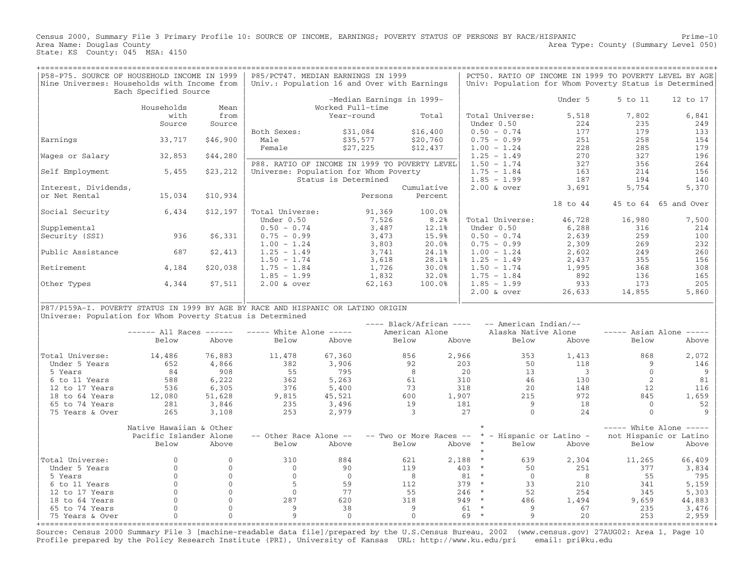Census 2000, Summary File 3 Primary Profile 10: SOURCE OF INCOME, EARNINGS; POVERTY STATUS OF PERSONS BY RACE/HISPANIC Prime−10 Area Type: County (Summary Level 050) Area Name: Douglas County<br>State: KS County: 045 MSA: 4150

| P58-P75. SOURCE OF HOUSEHOLD INCOME IN 1999                                      |                             |              | P85/PCT47. MEDIAN EARNINGS IN 1999            |                      |         |                                                  |           |                     | PCT50. RATIO OF INCOME IN 1999 TO POVERTY LEVEL BY AGE |                |                                     |
|----------------------------------------------------------------------------------|-----------------------------|--------------|-----------------------------------------------|----------------------|---------|--------------------------------------------------|-----------|---------------------|--------------------------------------------------------|----------------|-------------------------------------|
| Nine Universes: Households with Income from                                      | Each Specified Source       |              | Univ.: Population 16 and Over with Earnings   |                      |         |                                                  |           |                     | Univ: Population for Whom Poverty Status is Determined |                |                                     |
|                                                                                  |                             |              |                                               |                      |         | -Median Earnings in 1999-                        |           |                     | Under 5                                                | 5 to 11        | 12 to 17                            |
|                                                                                  | Households                  | Mean         |                                               | Worked Full-time     |         |                                                  |           |                     |                                                        |                |                                     |
|                                                                                  | with                        | from         |                                               | Year-round           |         | Total                                            |           | Total Universe:     | 5,518                                                  | 7,802          | 6,841                               |
|                                                                                  | Source                      | Source       |                                               |                      |         |                                                  |           | Under 0.50          | 224                                                    | 235            | 249                                 |
|                                                                                  |                             |              | Both Sexes:                                   | \$31,084             |         | \$16,400                                         |           | $0.50 - 0.74$       | 177                                                    | 179            | 133                                 |
| Earnings                                                                         | 33,717                      | \$46,900     | Male                                          | \$35,577             |         | \$20,760                                         |           | $0.75 - 0.99$       | 251                                                    | 258            | 154                                 |
|                                                                                  |                             |              | Female                                        | \$27,225             |         | \$12,437                                         |           | $1.00 - 1.24$       | 228                                                    | 285            | 179                                 |
| Wages or Salary                                                                  | 32,853                      | \$44,280     |                                               |                      |         |                                                  |           | $1.25 - 1.49$       | 270                                                    | 327            | 196                                 |
|                                                                                  |                             |              | P88. RATIO OF INCOME IN 1999 TO POVERTY LEVEL |                      |         |                                                  |           | $1.50 - 1.74$       | 327                                                    | 356            | 264                                 |
| Self Employment                                                                  | 5,455                       | \$23,212     | Universe: Population for Whom Poverty         |                      |         |                                                  |           | $1.75 - 1.84$       | 163                                                    | 214            | 156                                 |
|                                                                                  |                             |              |                                               | Status is Determined |         |                                                  |           | $1.85 - 1.99$       | 187                                                    | 194            | 140                                 |
| Interest, Dividends,                                                             |                             |              |                                               |                      |         | Cumulative                                       |           | $2.00$ & over       | 3,691                                                  | 5,754          | 5,370                               |
| or Net Rental                                                                    | 15,034                      | \$10,934     |                                               |                      | Persons | Percent                                          |           |                     |                                                        |                |                                     |
|                                                                                  |                             |              |                                               |                      |         |                                                  |           |                     | 18 to 44                                               |                | 45 to 64 65 and Over                |
| Social Security                                                                  | 6,434                       | \$12,197     | Total Universe:                               |                      | 91,369  | 100.0%                                           |           |                     |                                                        |                |                                     |
|                                                                                  |                             |              | Under 0.50                                    |                      | 7,526   | 8.2%                                             |           | Total Universe:     | 46,728                                                 | 16,980         | 7,500                               |
| Supplemental                                                                     |                             |              | $0.50 - 0.74$                                 |                      | 3,487   | 12.1%                                            |           | Under 0.50          | 6,288                                                  | 316            | 214                                 |
|                                                                                  | 936                         | \$6,331      | $0.75 - 0.99$                                 |                      | 3,473   | 15.9%                                            |           | $0.50 - 0.74$       | 2,639                                                  | 259            | 100                                 |
| Security (SSI)                                                                   |                             |              | $1.00 - 1.24$                                 |                      | 3,803   | 20.0%                                            |           | $0.75 - 0.99$       | 2,309                                                  | 269            | 232                                 |
|                                                                                  | 687                         |              |                                               |                      |         |                                                  |           |                     |                                                        | 249            | 260                                 |
| Public Assistance                                                                |                             | \$2,413      | $1.25 - 1.49$                                 |                      | 3,741   | 24.1%<br>28.1%                                   |           | $1.00 - 1.24$       | 2,602                                                  | 355            | 156                                 |
|                                                                                  |                             |              | $1.50 - 1.74$                                 |                      | 3,618   |                                                  |           | $1.25 - 1.49$       | 2,437                                                  |                |                                     |
| Retirement                                                                       | 4,184                       | \$20,038     | $1.75 - 1.84$                                 |                      | 1,726   | 30.0%                                            |           | $1.50 - 1.74$       | 1,995                                                  | 368            | 308                                 |
|                                                                                  |                             |              | $1.85 - 1.99$                                 |                      | 1,832   | 32.0%                                            |           | $1.75 - 1.84$       | 892                                                    | 136            | 165                                 |
| Other Types                                                                      | 4,344                       | \$7,511      | $2.00$ & over                                 |                      | 62,163  | 100.0%                                           |           | $1.85 - 1.99$       | 933                                                    | 173            | 205                                 |
|                                                                                  |                             |              |                                               |                      |         |                                                  |           | $2.00$ & over       | 26,633                                                 | 14,855         | 5,860                               |
| P87/P159A-I. POVERTY STATUS IN 1999 BY AGE BY RACE AND HISPANIC OR LATINO ORIGIN |                             |              |                                               |                      |         |                                                  |           |                     |                                                        |                |                                     |
| Universe: Population for Whom Poverty Status is Determined                       |                             |              |                                               |                      |         |                                                  |           |                     |                                                        |                |                                     |
|                                                                                  |                             |              |                                               |                      |         | ---- Black/African ---- -- American Indian/--    |           |                     |                                                        |                |                                     |
|                                                                                  | $--- - -$ All Races $--- -$ |              | $---$ White Alone $---$                       |                      |         | American Alone                                   |           | Alaska Native Alone |                                                        |                | $---$ Asian Alone $---$             |
|                                                                                  | Below                       | Above        | Below                                         | Above                |         | Below                                            | Above     | Below               | Above                                                  | Below          | Above                               |
|                                                                                  |                             |              |                                               |                      |         |                                                  |           |                     |                                                        |                |                                     |
| Total Universe:                                                                  | 14,486                      | 76,883       | 11,478                                        | 67,360               |         | 856                                              | 2,966     | 353                 | 1,413                                                  | 868            | 2,072                               |
| Under 5 Years                                                                    | 652                         | 4,866        | 382                                           | 3,906                |         | 92                                               | 2.03      | 50                  | 118                                                    | 9              | 146                                 |
| 5 Years                                                                          | 84                          | 908          | 55                                            | 795                  |         | 8                                                | 20        | 13                  | $\overline{\phantom{a}}$                               | $\overline{0}$ | 9                                   |
| 6 to 11 Years                                                                    | 588                         | 6,222        | 362                                           | 5,263                |         | 61                                               | 310       | 46                  | 130                                                    | 2              | 81                                  |
| 12 to 17 Years                                                                   | 536                         | 6,305        | 376                                           | 5,400                |         | 73                                               | 318       | 20                  | 148                                                    | 12             | 116                                 |
| 18 to 64 Years                                                                   | 12,080                      | 51,628       | 9,815                                         | 45,521               |         | 600                                              | 1,907     | 215                 | 972                                                    | 845            | 1,659                               |
| 65 to 74 Years                                                                   | 281                         | 3,846        | 235                                           | 3,496                |         | 19                                               | 181       | 9                   | 18                                                     | $\Omega$       | 52                                  |
| 75 Years & Over                                                                  | 265                         | 3,108        | 253                                           | 2,979                |         | $\overline{\mathbf{3}}$                          | 27        | $\mathbf{0}$        | 24                                                     | $\mathbf{0}$   | 9                                   |
|                                                                                  |                             |              |                                               |                      |         |                                                  |           |                     |                                                        |                |                                     |
|                                                                                  | Native Hawaiian & Other     |              |                                               |                      |         |                                                  |           |                     |                                                        |                | $---$ White Alone $---$             |
|                                                                                  | Pacific Islander Alone      |              | -- Other Race Alone --                        |                      |         | -- Two or More Races -- * - Hispanic or Latino - |           |                     |                                                        |                | not Hispanic or Latino              |
|                                                                                  | Below                       | Above        | Below                                         | Above                |         | Below                                            | Above *   | Below               | Above                                                  | Below          | Above                               |
|                                                                                  |                             |              |                                               |                      |         |                                                  |           |                     |                                                        |                |                                     |
| Total Universe:                                                                  | $\Omega$                    | $\Omega$     | 310                                           | 884                  |         | 621                                              | $2,188$ * | 639                 | 2,304                                                  | 11,265         | 66,409                              |
| Under 5 Years                                                                    | $\overline{0}$              | $\mathbf{0}$ | $\circ$                                       | 90                   |         | 119                                              | $403 *$   | 50                  | 251                                                    | 377            | 3,834                               |
| 5 Years                                                                          | $\Omega$                    | $\mathbf 0$  | $\Omega$                                      | $\bigcirc$           |         | 8 <sup>8</sup>                                   | $81 *$    | $\bigcirc$          | 8                                                      | 55             | 795                                 |
| 6 to 11 Years                                                                    | $\mathbf{0}$                | $\mathbf 0$  | 5                                             | 59                   |         | 112                                              | $379 *$   | 33                  | 210                                                    | 341            | 5,159                               |
| 12 to 17 Years                                                                   | $\mathbf{0}$                | $\mathbf 0$  | $\Omega$                                      | 77                   |         | 55                                               | $246 *$   | 52                  | 254                                                    | 345            | 5,303                               |
| 18 to 64 Years                                                                   | $\Omega$                    | $\mathbf{0}$ | 287                                           | 620                  |         | 318                                              | $949 *$   | 486                 | 1,494                                                  | 9,659          | 44,883                              |
| 65 to 74 Years                                                                   | $\mathbf{0}$                | $\circ$      | 9                                             | 38                   |         | 9                                                | $61 *$    | 9                   | 67                                                     | 235            | 3,476                               |
| 75 Years & Over                                                                  | $\mathbf 0$                 | $\mathbf{0}$ | $\overline{9}$                                | $\overline{0}$       |         | $\mathbf{0}$                                     | $69 *$    | 9                   | 20                                                     | 253            | 2,959                               |
|                                                                                  |                             |              |                                               |                      |         |                                                  |           |                     |                                                        |                | =================================== |

Source: Census 2000 Summary File 3 [machine−readable data file]/prepared by the U.S.Census Bureau, 2002 (www.census.gov) 27AUG02: Area 1, Page 10 Profile prepared by the Policy Research Institute (PRI), University of Kansas URL: http://www.ku.edu/pri email: pri@ku.edu